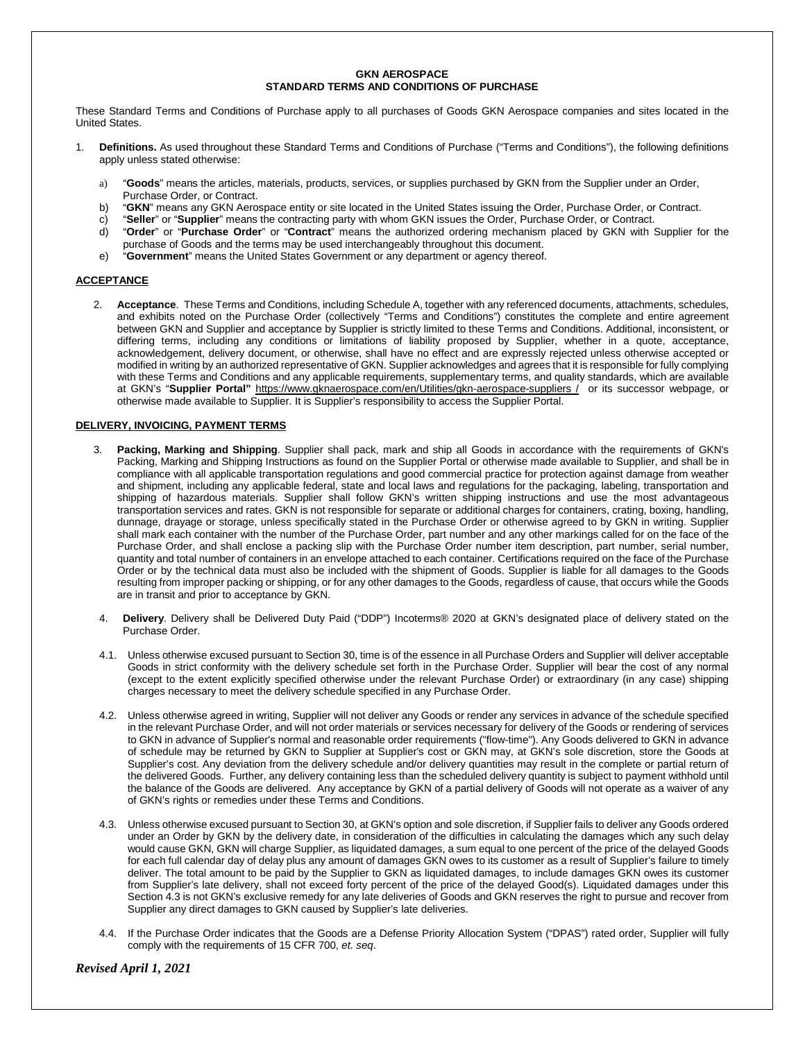# **GKN AEROSPACE STANDARD TERMS AND CONDITIONS OF PURCHASE**

These Standard Terms and Conditions of Purchase apply to all purchases of Goods GKN Aerospace companies and sites located in the United States.

- 1. **Definitions.** As used throughout these Standard Terms and Conditions of Purchase ("Terms and Conditions"), the following definitions apply unless stated otherwise:
	- a) "**Goods**" means the articles, materials, products, services, or supplies purchased by GKN from the Supplier under an Order, Purchase Order, or Contract.
	- b) "**GKN**" means any GKN Aerospace entity or site located in the United States issuing the Order, Purchase Order, or Contract.
	- c) "**Seller**" or "**Supplier**" means the contracting party with whom GKN issues the Order, Purchase Order, or Contract.
	- d) "**Order**" or "**Purchase Order**" or "**Contract**" means the authorized ordering mechanism placed by GKN with Supplier for the purchase of Goods and the terms may be used interchangeably throughout this document.
	- e) "**Government**" means the United States Government or any department or agency thereof.

# **ACCEPTANCE**

2. **Acceptance**. These Terms and Conditions, including Schedule A, together with any referenced documents, attachments, schedules, and exhibits noted on the Purchase Order (collectively "Terms and Conditions") constitutes the complete and entire agreement between GKN and Supplier and acceptance by Supplier is strictly limited to these Terms and Conditions. Additional, inconsistent, or differing terms, including any conditions or limitations of liability proposed by Supplier, whether in a quote, acceptance, acknowledgement, delivery document, or otherwise, shall have no effect and are expressly rejected unless otherwise accepted or modified in writing by an authorized representative of GKN. Supplier acknowledges and agrees that it is responsible for fully complying with these Terms and Conditions and any applicable requirements, supplementary terms, and quality standards, which are available at GKN's "**Supplier Portal"** [https://www.gknaerospace.com/en/Utilities/gkn-aerospace-suppliers](https://www.gknaerospace.com/en/Utilities/gkn-aerospace-suppliers/gkn-in-americas/alabama/) / or its successor webpage, or otherwise made available to Supplier. It is Supplier's responsibility to access the Supplier Portal.

# **DELIVERY, INVOICING, PAYMENT TERMS**

- 3. **Packing, Marking and Shipping**. Supplier shall pack, mark and ship all Goods in accordance with the requirements of GKN's Packing, Marking and Shipping Instructions as found on the Supplier Portal or otherwise made available to Supplier, and shall be in compliance with all applicable transportation regulations and good commercial practice for protection against damage from weather and shipment, including any applicable federal, state and local laws and regulations for the packaging, labeling, transportation and shipping of hazardous materials. Supplier shall follow GKN's written shipping instructions and use the most advantageous transportation services and rates. GKN is not responsible for separate or additional charges for containers, crating, boxing, handling, dunnage, drayage or storage, unless specifically stated in the Purchase Order or otherwise agreed to by GKN in writing. Supplier shall mark each container with the number of the Purchase Order, part number and any other markings called for on the face of the Purchase Order, and shall enclose a packing slip with the Purchase Order number item description, part number, serial number, quantity and total number of containers in an envelope attached to each container. Certifications required on the face of the Purchase Order or by the technical data must also be included with the shipment of Goods. Supplier is liable for all damages to the Goods resulting from improper packing or shipping, or for any other damages to the Goods, regardless of cause, that occurs while the Goods are in transit and prior to acceptance by GKN.
- 4. **Delivery**. Delivery shall be Delivered Duty Paid ("DDP") Incoterms® 2020 at GKN's designated place of delivery stated on the Purchase Order.
- 4.1. Unless otherwise excused pursuant to Section 30, time is of the essence in all Purchase Orders and Supplier will deliver acceptable Goods in strict conformity with the delivery schedule set forth in the Purchase Order. Supplier will bear the cost of any normal (except to the extent explicitly specified otherwise under the relevant Purchase Order) or extraordinary (in any case) shipping charges necessary to meet the delivery schedule specified in any Purchase Order.
- 4.2. Unless otherwise agreed in writing, Supplier will not deliver any Goods or render any services in advance of the schedule specified in the relevant Purchase Order, and will not order materials or services necessary for delivery of the Goods or rendering of services to GKN in advance of Supplier's normal and reasonable order requirements ("flow-time"). Any Goods delivered to GKN in advance of schedule may be returned by GKN to Supplier at Supplier's cost or GKN may, at GKN's sole discretion, store the Goods at Supplier's cost. Any deviation from the delivery schedule and/or delivery quantities may result in the complete or partial return of the delivered Goods. Further, any delivery containing less than the scheduled delivery quantity is subject to payment withhold until the balance of the Goods are delivered. Any acceptance by GKN of a partial delivery of Goods will not operate as a waiver of any of GKN's rights or remedies under these Terms and Conditions.
- 4.3. Unless otherwise excused pursuant to Section 30, at GKN's option and sole discretion, if Supplier fails to deliver any Goods ordered under an Order by GKN by the delivery date, in consideration of the difficulties in calculating the damages which any such delay would cause GKN, GKN will charge Supplier, as liquidated damages, a sum equal to one percent of the price of the delayed Goods for each full calendar day of delay plus any amount of damages GKN owes to its customer as a result of Supplier's failure to timely deliver. The total amount to be paid by the Supplier to GKN as liquidated damages, to include damages GKN owes its customer from Supplier's late delivery, shall not exceed forty percent of the price of the delayed Good(s). Liquidated damages under this Section 4.3 is not GKN's exclusive remedy for any late deliveries of Goods and GKN reserves the right to pursue and recover from Supplier any direct damages to GKN caused by Supplier's late deliveries.
- 4.4. If the Purchase Order indicates that the Goods are a Defense Priority Allocation System ("DPAS") rated order, Supplier will fully comply with the requirements of 15 CFR 700, *et. seq*.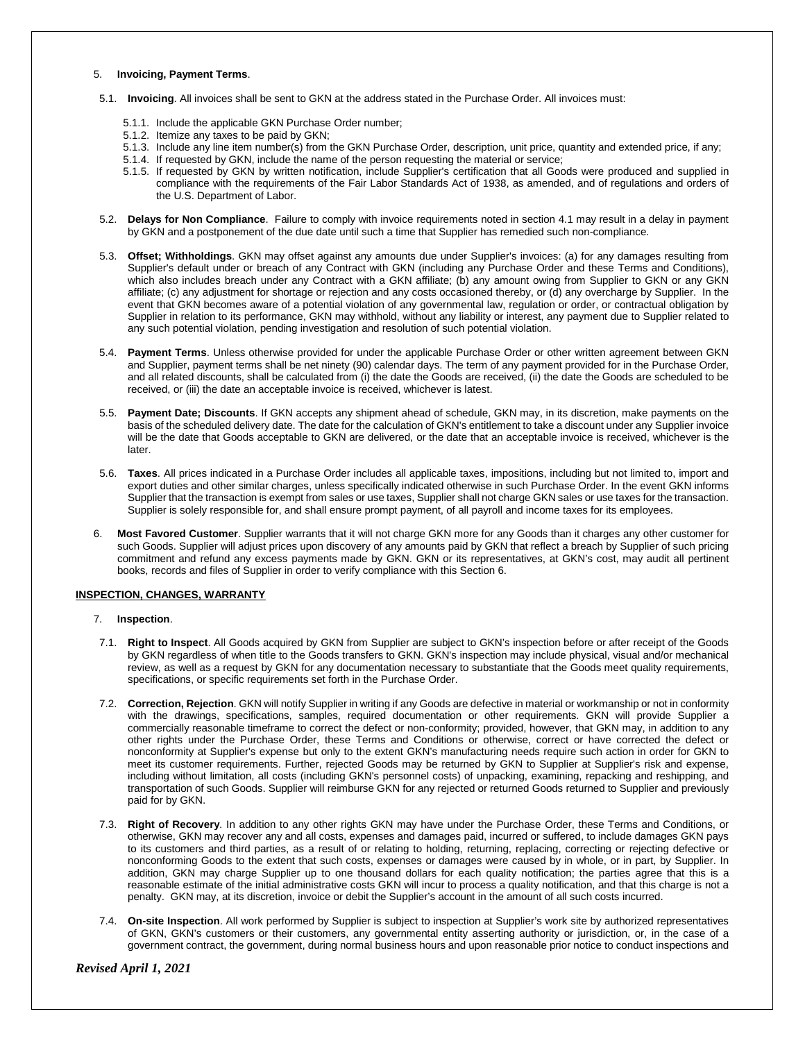#### 5. **Invoicing, Payment Terms**.

- 5.1. **Invoicing**. All invoices shall be sent to GKN at the address stated in the Purchase Order. All invoices must:
	- 5.1.1. Include the applicable GKN Purchase Order number;
	- 5.1.2. Itemize any taxes to be paid by GKN;
	- 5.1.3. Include any line item number(s) from the GKN Purchase Order, description, unit price, quantity and extended price, if any;
	- 5.1.4. If requested by GKN, include the name of the person requesting the material or service;
	- 5.1.5. If requested by GKN by written notification, include Supplier's certification that all Goods were produced and supplied in compliance with the requirements of the Fair Labor Standards Act of 1938, as amended, and of regulations and orders of the U.S. Department of Labor.
- 5.2. **Delays for Non Compliance**. Failure to comply with invoice requirements noted in section 4.1 may result in a delay in payment by GKN and a postponement of the due date until such a time that Supplier has remedied such non-compliance.
- 5.3. **Offset; Withholdings**. GKN may offset against any amounts due under Supplier's invoices: (a) for any damages resulting from Supplier's default under or breach of any Contract with GKN (including any Purchase Order and these Terms and Conditions), which also includes breach under any Contract with a GKN affiliate; (b) any amount owing from Supplier to GKN or any GKN affiliate; (c) any adjustment for shortage or rejection and any costs occasioned thereby, or (d) any overcharge by Supplier. In the event that GKN becomes aware of a potential violation of any governmental law, regulation or order, or contractual obligation by Supplier in relation to its performance, GKN may withhold, without any liability or interest, any payment due to Supplier related to any such potential violation, pending investigation and resolution of such potential violation.
- 5.4. **Payment Terms**. Unless otherwise provided for under the applicable Purchase Order or other written agreement between GKN and Supplier, payment terms shall be net ninety (90) calendar days. The term of any payment provided for in the Purchase Order, and all related discounts, shall be calculated from (i) the date the Goods are received, (ii) the date the Goods are scheduled to be received, or (iii) the date an acceptable invoice is received, whichever is latest.
- 5.5. **Payment Date; Discounts**. If GKN accepts any shipment ahead of schedule, GKN may, in its discretion, make payments on the basis of the scheduled delivery date. The date for the calculation of GKN's entitlement to take a discount under any Supplier invoice will be the date that Goods acceptable to GKN are delivered, or the date that an acceptable invoice is received, whichever is the later.
- 5.6. **Taxes**. All prices indicated in a Purchase Order includes all applicable taxes, impositions, including but not limited to, import and export duties and other similar charges, unless specifically indicated otherwise in such Purchase Order. In the event GKN informs Supplier that the transaction is exempt from sales or use taxes, Supplier shall not charge GKN sales or use taxes for the transaction. Supplier is solely responsible for, and shall ensure prompt payment, of all payroll and income taxes for its employees.
- 6. **Most Favored Customer**. Supplier warrants that it will not charge GKN more for any Goods than it charges any other customer for such Goods. Supplier will adjust prices upon discovery of any amounts paid by GKN that reflect a breach by Supplier of such pricing commitment and refund any excess payments made by GKN. GKN or its representatives, at GKN's cost, may audit all pertinent books, records and files of Supplier in order to verify compliance with this Section 6.

# **INSPECTION, CHANGES, WARRANTY**

- 7. **Inspection**.
- 7.1. **Right to Inspect**. All Goods acquired by GKN from Supplier are subject to GKN's inspection before or after receipt of the Goods by GKN regardless of when title to the Goods transfers to GKN. GKN's inspection may include physical, visual and/or mechanical review, as well as a request by GKN for any documentation necessary to substantiate that the Goods meet quality requirements, specifications, or specific requirements set forth in the Purchase Order.
- 7.2. **Correction, Rejection**. GKN will notify Supplier in writing if any Goods are defective in material or workmanship or not in conformity with the drawings, specifications, samples, required documentation or other requirements. GKN will provide Supplier a commercially reasonable timeframe to correct the defect or non-conformity; provided, however, that GKN may, in addition to any other rights under the Purchase Order, these Terms and Conditions or otherwise, correct or have corrected the defect or nonconformity at Supplier's expense but only to the extent GKN's manufacturing needs require such action in order for GKN to meet its customer requirements. Further, rejected Goods may be returned by GKN to Supplier at Supplier's risk and expense, including without limitation, all costs (including GKN's personnel costs) of unpacking, examining, repacking and reshipping, and transportation of such Goods. Supplier will reimburse GKN for any rejected or returned Goods returned to Supplier and previously paid for by GKN.
- 7.3. **Right of Recovery**. In addition to any other rights GKN may have under the Purchase Order, these Terms and Conditions, or otherwise, GKN may recover any and all costs, expenses and damages paid, incurred or suffered, to include damages GKN pays to its customers and third parties, as a result of or relating to holding, returning, replacing, correcting or rejecting defective or nonconforming Goods to the extent that such costs, expenses or damages were caused by in whole, or in part, by Supplier. In addition, GKN may charge Supplier up to one thousand dollars for each quality notification; the parties agree that this is a reasonable estimate of the initial administrative costs GKN will incur to process a quality notification, and that this charge is not a penalty. GKN may, at its discretion, invoice or debit the Supplier's account in the amount of all such costs incurred.
- 7.4. **On-site Inspection**. All work performed by Supplier is subject to inspection at Supplier's work site by authorized representatives of GKN, GKN's customers or their customers, any governmental entity asserting authority or jurisdiction, or, in the case of a government contract, the government, during normal business hours and upon reasonable prior notice to conduct inspections and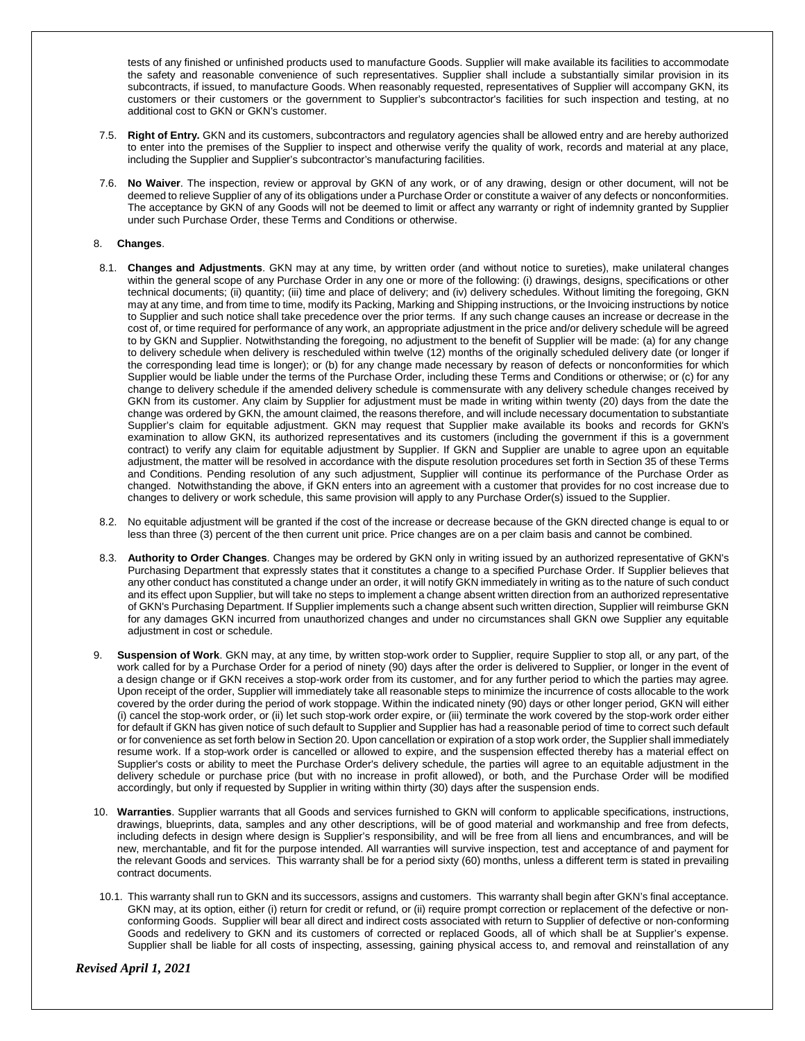tests of any finished or unfinished products used to manufacture Goods. Supplier will make available its facilities to accommodate the safety and reasonable convenience of such representatives. Supplier shall include a substantially similar provision in its subcontracts, if issued, to manufacture Goods. When reasonably requested, representatives of Supplier will accompany GKN, its customers or their customers or the government to Supplier's subcontractor's facilities for such inspection and testing, at no additional cost to GKN or GKN's customer.

- 7.5. **Right of Entry.** GKN and its customers, subcontractors and regulatory agencies shall be allowed entry and are hereby authorized to enter into the premises of the Supplier to inspect and otherwise verify the quality of work, records and material at any place, including the Supplier and Supplier's subcontractor's manufacturing facilities.
- 7.6. **No Waiver**. The inspection, review or approval by GKN of any work, or of any drawing, design or other document, will not be deemed to relieve Supplier of any of its obligations under a Purchase Order or constitute a waiver of any defects or nonconformities. The acceptance by GKN of any Goods will not be deemed to limit or affect any warranty or right of indemnity granted by Supplier under such Purchase Order, these Terms and Conditions or otherwise.

# 8. **Changes**.

- 8.1. **Changes and Adjustments**. GKN may at any time, by written order (and without notice to sureties), make unilateral changes within the general scope of any Purchase Order in any one or more of the following: (i) drawings, designs, specifications or other technical documents; (ii) quantity; (iii) time and place of delivery; and (iv) delivery schedules. Without limiting the foregoing, GKN may at any time, and from time to time, modify its Packing, Marking and Shipping instructions, or the Invoicing instructions by notice to Supplier and such notice shall take precedence over the prior terms. If any such change causes an increase or decrease in the cost of, or time required for performance of any work, an appropriate adjustment in the price and/or delivery schedule will be agreed to by GKN and Supplier. Notwithstanding the foregoing, no adjustment to the benefit of Supplier will be made: (a) for any change to delivery schedule when delivery is rescheduled within twelve (12) months of the originally scheduled delivery date (or longer if the corresponding lead time is longer); or (b) for any change made necessary by reason of defects or nonconformities for which Supplier would be liable under the terms of the Purchase Order, including these Terms and Conditions or otherwise; or (c) for any change to delivery schedule if the amended delivery schedule is commensurate with any delivery schedule changes received by GKN from its customer. Any claim by Supplier for adjustment must be made in writing within twenty (20) days from the date the change was ordered by GKN, the amount claimed, the reasons therefore, and will include necessary documentation to substantiate Supplier's claim for equitable adjustment. GKN may request that Supplier make available its books and records for GKN's examination to allow GKN, its authorized representatives and its customers (including the government if this is a government contract) to verify any claim for equitable adjustment by Supplier. If GKN and Supplier are unable to agree upon an equitable adjustment, the matter will be resolved in accordance with the dispute resolution procedures set forth in Section 35 of these Terms and Conditions. Pending resolution of any such adjustment, Supplier will continue its performance of the Purchase Order as changed. Notwithstanding the above, if GKN enters into an agreement with a customer that provides for no cost increase due to changes to delivery or work schedule, this same provision will apply to any Purchase Order(s) issued to the Supplier.
- 8.2. No equitable adjustment will be granted if the cost of the increase or decrease because of the GKN directed change is equal to or less than three (3) percent of the then current unit price. Price changes are on a per claim basis and cannot be combined.
- 8.3. **Authority to Order Changes**. Changes may be ordered by GKN only in writing issued by an authorized representative of GKN's Purchasing Department that expressly states that it constitutes a change to a specified Purchase Order. If Supplier believes that any other conduct has constituted a change under an order, it will notify GKN immediately in writing as to the nature of such conduct and its effect upon Supplier, but will take no steps to implement a change absent written direction from an authorized representative of GKN's Purchasing Department. If Supplier implements such a change absent such written direction, Supplier will reimburse GKN for any damages GKN incurred from unauthorized changes and under no circumstances shall GKN owe Supplier any equitable adjustment in cost or schedule.
- 9. **Suspension of Work**. GKN may, at any time, by written stop-work order to Supplier, require Supplier to stop all, or any part, of the work called for by a Purchase Order for a period of ninety (90) days after the order is delivered to Supplier, or longer in the event of a design change or if GKN receives a stop-work order from its customer, and for any further period to which the parties may agree. Upon receipt of the order, Supplier will immediately take all reasonable steps to minimize the incurrence of costs allocable to the work covered by the order during the period of work stoppage. Within the indicated ninety (90) days or other longer period, GKN will either (i) cancel the stop-work order, or (ii) let such stop-work order expire, or (iii) terminate the work covered by the stop-work order either for default if GKN has given notice of such default to Supplier and Supplier has had a reasonable period of time to correct such default or for convenience as set forth below in Section 20. Upon cancellation or expiration of a stop work order, the Supplier shall immediately resume work. If a stop-work order is cancelled or allowed to expire, and the suspension effected thereby has a material effect on Supplier's costs or ability to meet the Purchase Order's delivery schedule, the parties will agree to an equitable adjustment in the delivery schedule or purchase price (but with no increase in profit allowed), or both, and the Purchase Order will be modified accordingly, but only if requested by Supplier in writing within thirty (30) days after the suspension ends.
- 10. **Warranties**. Supplier warrants that all Goods and services furnished to GKN will conform to applicable specifications, instructions, drawings, blueprints, data, samples and any other descriptions, will be of good material and workmanship and free from defects, including defects in design where design is Supplier's responsibility, and will be free from all liens and encumbrances, and will be new, merchantable, and fit for the purpose intended. All warranties will survive inspection, test and acceptance of and payment for the relevant Goods and services. This warranty shall be for a period sixty (60) months, unless a different term is stated in prevailing contract documents.
- 10.1. This warranty shall run to GKN and its successors, assigns and customers. This warranty shall begin after GKN's final acceptance. GKN may, at its option, either (i) return for credit or refund, or (ii) require prompt correction or replacement of the defective or nonconforming Goods. Supplier will bear all direct and indirect costs associated with return to Supplier of defective or non-conforming Goods and redelivery to GKN and its customers of corrected or replaced Goods, all of which shall be at Supplier's expense. Supplier shall be liable for all costs of inspecting, assessing, gaining physical access to, and removal and reinstallation of any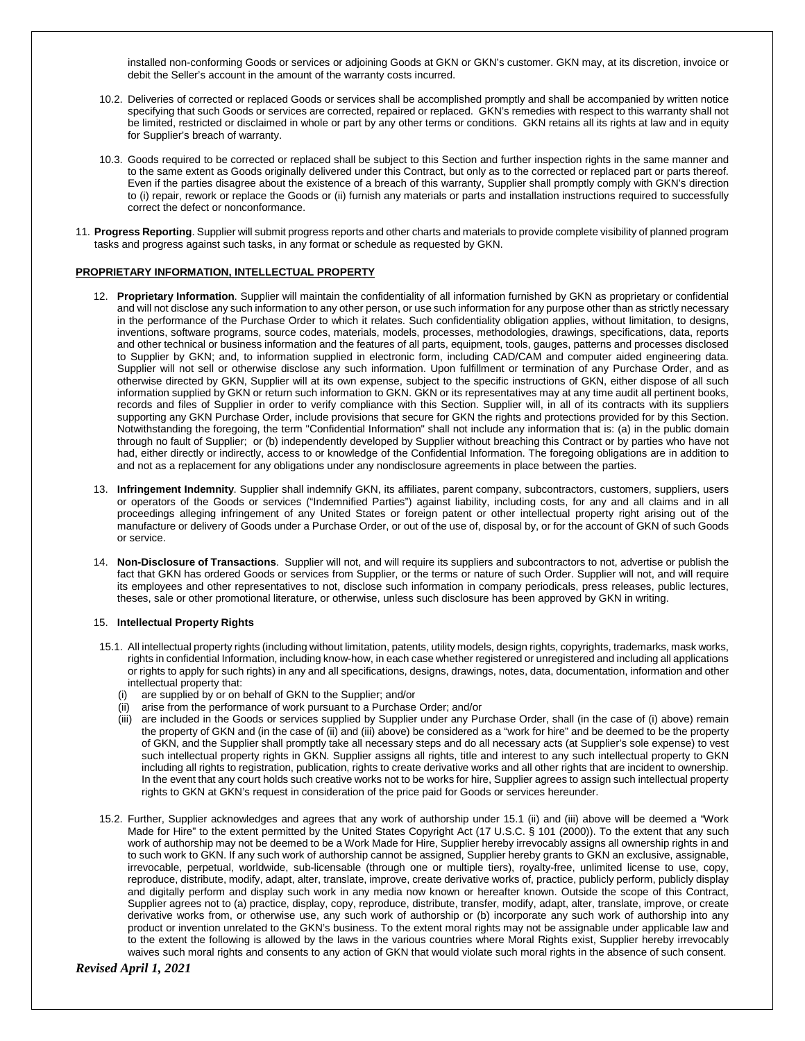installed non-conforming Goods or services or adjoining Goods at GKN or GKN's customer. GKN may, at its discretion, invoice or debit the Seller's account in the amount of the warranty costs incurred.

- 10.2. Deliveries of corrected or replaced Goods or services shall be accomplished promptly and shall be accompanied by written notice specifying that such Goods or services are corrected, repaired or replaced. GKN's remedies with respect to this warranty shall not be limited, restricted or disclaimed in whole or part by any other terms or conditions. GKN retains all its rights at law and in equity for Supplier's breach of warranty.
- 10.3. Goods required to be corrected or replaced shall be subject to this Section and further inspection rights in the same manner and to the same extent as Goods originally delivered under this Contract, but only as to the corrected or replaced part or parts thereof. Even if the parties disagree about the existence of a breach of this warranty, Supplier shall promptly comply with GKN's direction to (i) repair, rework or replace the Goods or (ii) furnish any materials or parts and installation instructions required to successfully correct the defect or nonconformance.
- 11. **Progress Reporting**. Supplier will submit progress reports and other charts and materials to provide complete visibility of planned program tasks and progress against such tasks, in any format or schedule as requested by GKN.

# **PROPRIETARY INFORMATION, INTELLECTUAL PROPERTY**

- 12. **Proprietary Information**. Supplier will maintain the confidentiality of all information furnished by GKN as proprietary or confidential and will not disclose any such information to any other person, or use such information for any purpose other than as strictly necessary in the performance of the Purchase Order to which it relates. Such confidentiality obligation applies, without limitation, to designs, inventions, software programs, source codes, materials, models, processes, methodologies, drawings, specifications, data, reports and other technical or business information and the features of all parts, equipment, tools, gauges, patterns and processes disclosed to Supplier by GKN; and, to information supplied in electronic form, including CAD/CAM and computer aided engineering data. Supplier will not sell or otherwise disclose any such information. Upon fulfillment or termination of any Purchase Order, and as otherwise directed by GKN, Supplier will at its own expense, subject to the specific instructions of GKN, either dispose of all such information supplied by GKN or return such information to GKN. GKN or its representatives may at any time audit all pertinent books, records and files of Supplier in order to verify compliance with this Section. Supplier will, in all of its contracts with its suppliers supporting any GKN Purchase Order, include provisions that secure for GKN the rights and protections provided for by this Section. Notwithstanding the foregoing, the term "Confidential Information" shall not include any information that is: (a) in the public domain through no fault of Supplier; or (b) independently developed by Supplier without breaching this Contract or by parties who have not had, either directly or indirectly, access to or knowledge of the Confidential Information. The foregoing obligations are in addition to and not as a replacement for any obligations under any nondisclosure agreements in place between the parties.
- 13. **Infringement Indemnity**. Supplier shall indemnify GKN, its affiliates, parent company, subcontractors, customers, suppliers, users or operators of the Goods or services ("Indemnified Parties") against liability, including costs, for any and all claims and in all proceedings alleging infringement of any United States or foreign patent or other intellectual property right arising out of the manufacture or delivery of Goods under a Purchase Order, or out of the use of, disposal by, or for the account of GKN of such Goods or service.
- 14. **Non-Disclosure of Transactions**. Supplier will not, and will require its suppliers and subcontractors to not, advertise or publish the fact that GKN has ordered Goods or services from Supplier, or the terms or nature of such Order. Supplier will not, and will require its employees and other representatives to not, disclose such information in company periodicals, press releases, public lectures, theses, sale or other promotional literature, or otherwise, unless such disclosure has been approved by GKN in writing.

#### 15. **Intellectual Property Rights**

- 15.1. All intellectual property rights (including without limitation, patents, utility models, design rights, copyrights, trademarks, mask works, rights in confidential Information, including know-how, in each case whether registered or unregistered and including all applications or rights to apply for such rights) in any and all specifications, designs, drawings, notes, data, documentation, information and other intellectual property that:
	-
	- (i) are supplied by or on behalf of GKN to the Supplier; and/or (ii) arise from the performance of work pursuant to a Purchase arise from the performance of work pursuant to a Purchase Order; and/or
	- (iii) are included in the Goods or services supplied by Supplier under any Purchase Order, shall (in the case of (i) above) remain the property of GKN and (in the case of (ii) and (iii) above) be considered as a "work for hire" and be deemed to be the property of GKN, and the Supplier shall promptly take all necessary steps and do all necessary acts (at Supplier's sole expense) to vest such intellectual property rights in GKN. Supplier assigns all rights, title and interest to any such intellectual property to GKN including all rights to registration, publication, rights to create derivative works and all other rights that are incident to ownership. In the event that any court holds such creative works not to be works for hire, Supplier agrees to assign such intellectual property rights to GKN at GKN's request in consideration of the price paid for Goods or services hereunder.
- 15.2. Further, Supplier acknowledges and agrees that any work of authorship under 15.1 (ii) and (iii) above will be deemed a "Work Made for Hire" to the extent permitted by the United States Copyright Act (17 U.S.C. § 101 (2000)). To the extent that any such work of authorship may not be deemed to be a Work Made for Hire, Supplier hereby irrevocably assigns all ownership rights in and to such work to GKN. If any such work of authorship cannot be assigned, Supplier hereby grants to GKN an exclusive, assignable, irrevocable, perpetual, worldwide, sub-licensable (through one or multiple tiers), royalty-free, unlimited license to use, copy, reproduce, distribute, modify, adapt, alter, translate, improve, create derivative works of, practice, publicly perform, publicly display and digitally perform and display such work in any media now known or hereafter known. Outside the scope of this Contract, Supplier agrees not to (a) practice, display, copy, reproduce, distribute, transfer, modify, adapt, alter, translate, improve, or create derivative works from, or otherwise use, any such work of authorship or (b) incorporate any such work of authorship into any product or invention unrelated to the GKN's business. To the extent moral rights may not be assignable under applicable law and to the extent the following is allowed by the laws in the various countries where Moral Rights exist, Supplier hereby irrevocably waives such moral rights and consents to any action of GKN that would violate such moral rights in the absence of such consent.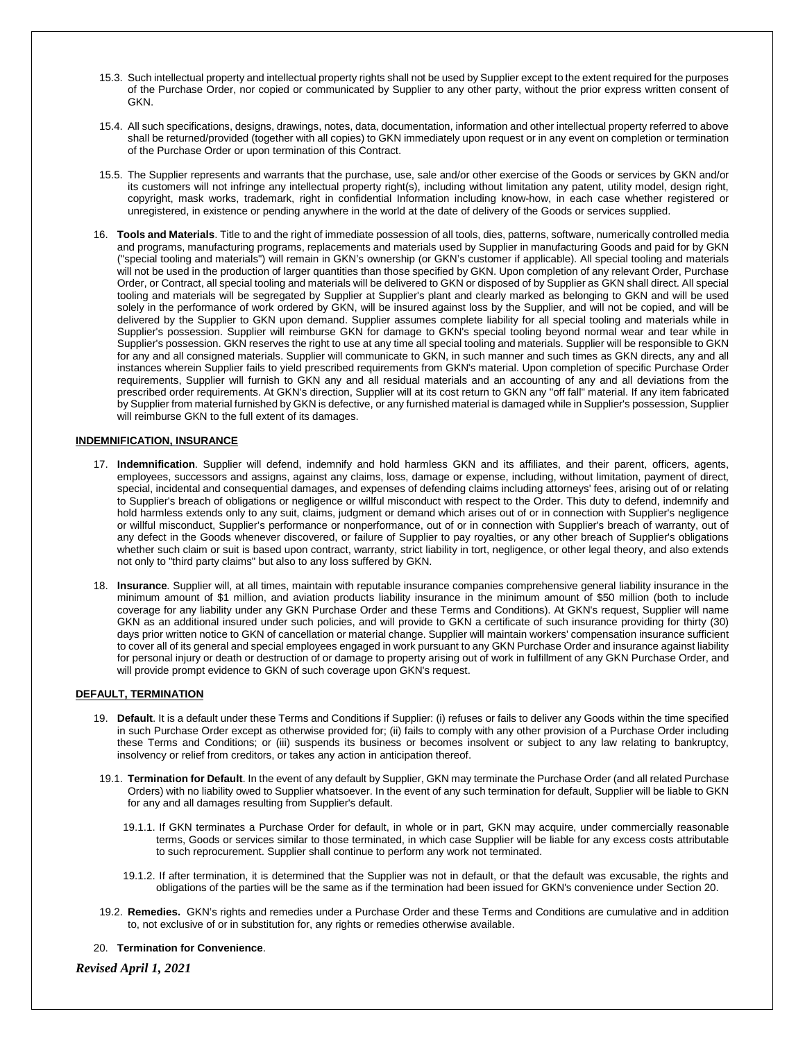- 15.3. Such intellectual property and intellectual property rights shall not be used by Supplier except to the extent required for the purposes of the Purchase Order, nor copied or communicated by Supplier to any other party, without the prior express written consent of **GKN**
- 15.4. All such specifications, designs, drawings, notes, data, documentation, information and other intellectual property referred to above shall be returned/provided (together with all copies) to GKN immediately upon request or in any event on completion or termination of the Purchase Order or upon termination of this Contract.
- 15.5. The Supplier represents and warrants that the purchase, use, sale and/or other exercise of the Goods or services by GKN and/or its customers will not infringe any intellectual property right(s), including without limitation any patent, utility model, design right, copyright, mask works, trademark, right in confidential Information including know-how, in each case whether registered or unregistered, in existence or pending anywhere in the world at the date of delivery of the Goods or services supplied.
- 16. **Tools and Materials**. Title to and the right of immediate possession of all tools, dies, patterns, software, numerically controlled media and programs, manufacturing programs, replacements and materials used by Supplier in manufacturing Goods and paid for by GKN ("special tooling and materials") will remain in GKN's ownership (or GKN's customer if applicable). All special tooling and materials will not be used in the production of larger quantities than those specified by GKN. Upon completion of any relevant Order, Purchase Order, or Contract, all special tooling and materials will be delivered to GKN or disposed of by Supplier as GKN shall direct. All special tooling and materials will be segregated by Supplier at Supplier's plant and clearly marked as belonging to GKN and will be used solely in the performance of work ordered by GKN, will be insured against loss by the Supplier, and will not be copied, and will be delivered by the Supplier to GKN upon demand. Supplier assumes complete liability for all special tooling and materials while in Supplier's possession. Supplier will reimburse GKN for damage to GKN's special tooling beyond normal wear and tear while in Supplier's possession. GKN reserves the right to use at any time all special tooling and materials. Supplier will be responsible to GKN for any and all consigned materials. Supplier will communicate to GKN, in such manner and such times as GKN directs, any and all instances wherein Supplier fails to yield prescribed requirements from GKN's material. Upon completion of specific Purchase Order requirements, Supplier will furnish to GKN any and all residual materials and an accounting of any and all deviations from the prescribed order requirements. At GKN's direction, Supplier will at its cost return to GKN any "off fall" material. If any item fabricated by Supplier from material furnished by GKN is defective, or any furnished material is damaged while in Supplier's possession, Supplier will reimburse GKN to the full extent of its damages.

# **INDEMNIFICATION, INSURANCE**

- 17. **Indemnification**. Supplier will defend, indemnify and hold harmless GKN and its affiliates, and their parent, officers, agents, employees, successors and assigns, against any claims, loss, damage or expense, including, without limitation, payment of direct, special, incidental and consequential damages, and expenses of defending claims including attorneys' fees, arising out of or relating to Supplier's breach of obligations or negligence or willful misconduct with respect to the Order. This duty to defend, indemnify and hold harmless extends only to any suit, claims, judgment or demand which arises out of or in connection with Supplier's negligence or willful misconduct, Supplier's performance or nonperformance, out of or in connection with Supplier's breach of warranty, out of any defect in the Goods whenever discovered, or failure of Supplier to pay royalties, or any other breach of Supplier's obligations whether such claim or suit is based upon contract, warranty, strict liability in tort, negligence, or other legal theory, and also extends not only to "third party claims" but also to any loss suffered by GKN.
- 18. **Insurance**. Supplier will, at all times, maintain with reputable insurance companies comprehensive general liability insurance in the minimum amount of \$1 million, and aviation products liability insurance in the minimum amount of \$50 million (both to include coverage for any liability under any GKN Purchase Order and these Terms and Conditions). At GKN's request, Supplier will name GKN as an additional insured under such policies, and will provide to GKN a certificate of such insurance providing for thirty (30) days prior written notice to GKN of cancellation or material change. Supplier will maintain workers' compensation insurance sufficient to cover all of its general and special employees engaged in work pursuant to any GKN Purchase Order and insurance against liability for personal injury or death or destruction of or damage to property arising out of work in fulfillment of any GKN Purchase Order, and will provide prompt evidence to GKN of such coverage upon GKN's request.

# **DEFAULT, TERMINATION**

- 19. **Default**. It is a default under these Terms and Conditions if Supplier: (i) refuses or fails to deliver any Goods within the time specified in such Purchase Order except as otherwise provided for; (ii) fails to comply with any other provision of a Purchase Order including these Terms and Conditions; or (iii) suspends its business or becomes insolvent or subject to any law relating to bankruptcy, insolvency or relief from creditors, or takes any action in anticipation thereof.
- 19.1. **Termination for Default**. In the event of any default by Supplier, GKN may terminate the Purchase Order (and all related Purchase Orders) with no liability owed to Supplier whatsoever. In the event of any such termination for default, Supplier will be liable to GKN for any and all damages resulting from Supplier's default.
	- 19.1.1. If GKN terminates a Purchase Order for default, in whole or in part, GKN may acquire, under commercially reasonable terms, Goods or services similar to those terminated, in which case Supplier will be liable for any excess costs attributable to such reprocurement. Supplier shall continue to perform any work not terminated.
	- 19.1.2. If after termination, it is determined that the Supplier was not in default, or that the default was excusable, the rights and obligations of the parties will be the same as if the termination had been issued for GKN's convenience under Section 20.
- 19.2. **Remedies.** GKN's rights and remedies under a Purchase Order and these Terms and Conditions are cumulative and in addition to, not exclusive of or in substitution for, any rights or remedies otherwise available.

#### 20. **Termination for Convenience**.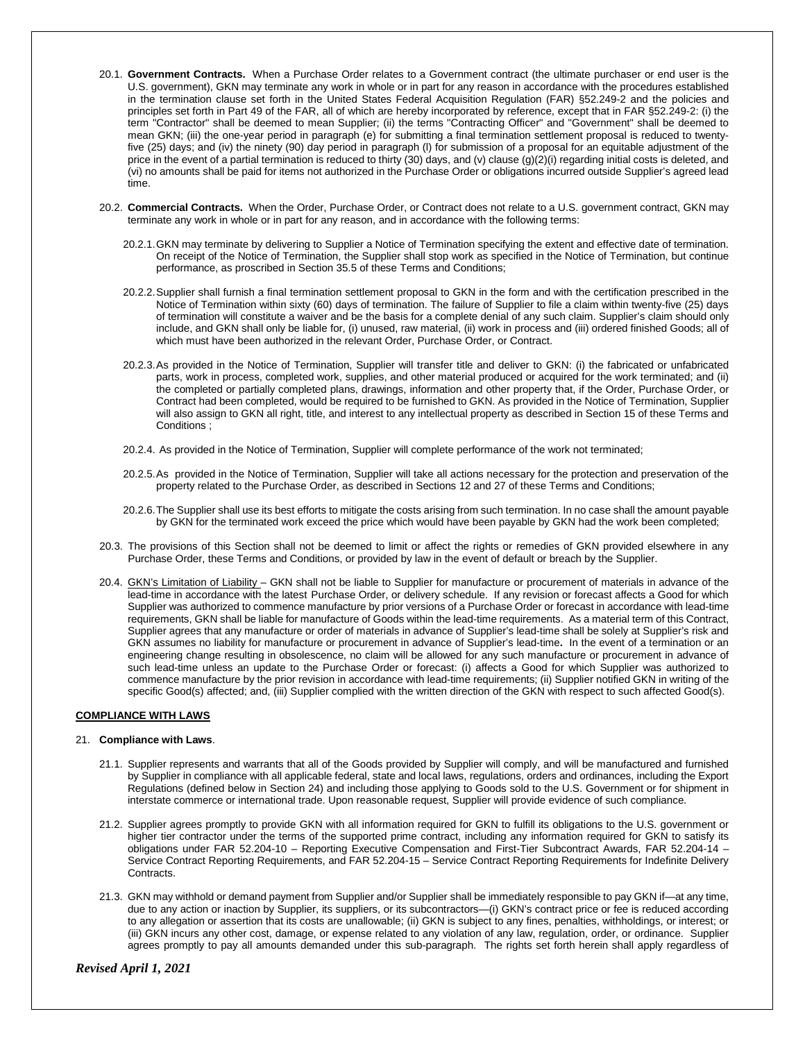- 20.1. **Government Contracts.** When a Purchase Order relates to a Government contract (the ultimate purchaser or end user is the U.S. government), GKN may terminate any work in whole or in part for any reason in accordance with the procedures established in the termination clause set forth in the United States Federal Acquisition Regulation (FAR) §52.249-2 and the policies and principles set forth in Part 49 of the FAR, all of which are hereby incorporated by reference, except that in FAR §52.249-2: (i) the term "Contractor" shall be deemed to mean Supplier; (ii) the terms "Contracting Officer" and "Government" shall be deemed to mean GKN; (iii) the one-year period in paragraph (e) for submitting a final termination settlement proposal is reduced to twentyfive (25) days; and (iv) the ninety (90) day period in paragraph (l) for submission of a proposal for an equitable adjustment of the price in the event of a partial termination is reduced to thirty (30) days, and (v) clause (g)(2)(i) regarding initial costs is deleted, and (vi) no amounts shall be paid for items not authorized in the Purchase Order or obligations incurred outside Supplier's agreed lead time.
- 20.2. **Commercial Contracts.** When the Order, Purchase Order, or Contract does not relate to a U.S. government contract, GKN may terminate any work in whole or in part for any reason, and in accordance with the following terms:
	- 20.2.1.GKN may terminate by delivering to Supplier a Notice of Termination specifying the extent and effective date of termination. On receipt of the Notice of Termination, the Supplier shall stop work as specified in the Notice of Termination, but continue performance, as proscribed in Section 35.5 of these Terms and Conditions;
	- 20.2.2.Supplier shall furnish a final termination settlement proposal to GKN in the form and with the certification prescribed in the Notice of Termination within sixty (60) days of termination. The failure of Supplier to file a claim within twenty-five (25) days of termination will constitute a waiver and be the basis for a complete denial of any such claim. Supplier's claim should only include, and GKN shall only be liable for, (i) unused, raw material, (ii) work in process and (iii) ordered finished Goods; all of which must have been authorized in the relevant Order, Purchase Order, or Contract.
	- 20.2.3.As provided in the Notice of Termination, Supplier will transfer title and deliver to GKN: (i) the fabricated or unfabricated parts, work in process, completed work, supplies, and other material produced or acquired for the work terminated; and (ii) the completed or partially completed plans, drawings, information and other property that, if the Order, Purchase Order, or Contract had been completed, would be required to be furnished to GKN. As provided in the Notice of Termination, Supplier will also assign to GKN all right, title, and interest to any intellectual property as described in Section 15 of these Terms and Conditions ;
	- 20.2.4. As provided in the Notice of Termination, Supplier will complete performance of the work not terminated;
	- 20.2.5.As provided in the Notice of Termination, Supplier will take all actions necessary for the protection and preservation of the property related to the Purchase Order, as described in Sections 12 and 27 of these Terms and Conditions;
	- 20.2.6.The Supplier shall use its best efforts to mitigate the costs arising from such termination. In no case shall the amount payable by GKN for the terminated work exceed the price which would have been payable by GKN had the work been completed;
- 20.3. The provisions of this Section shall not be deemed to limit or affect the rights or remedies of GKN provided elsewhere in any Purchase Order, these Terms and Conditions, or provided by law in the event of default or breach by the Supplier.
- 20.4. GKN's Limitation of Liability GKN shall not be liable to Supplier for manufacture or procurement of materials in advance of the lead-time in accordance with the latest Purchase Order, or delivery schedule. If any revision or forecast affects a Good for which Supplier was authorized to commence manufacture by prior versions of a Purchase Order or forecast in accordance with lead-time requirements, GKN shall be liable for manufacture of Goods within the lead-time requirements. As a material term of this Contract, Supplier agrees that any manufacture or order of materials in advance of Supplier's lead-time shall be solely at Supplier's risk and GKN assumes no liability for manufacture or procurement in advance of Supplier's lead-time**.** In the event of a termination or an engineering change resulting in obsolescence, no claim will be allowed for any such manufacture or procurement in advance of such lead-time unless an update to the Purchase Order or forecast: (i) affects a Good for which Supplier was authorized to commence manufacture by the prior revision in accordance with lead-time requirements; (ii) Supplier notified GKN in writing of the specific Good(s) affected; and, (iii) Supplier complied with the written direction of the GKN with respect to such affected Good(s).

# **COMPLIANCE WITH LAWS**

# 21. **Compliance with Laws**.

- 21.1. Supplier represents and warrants that all of the Goods provided by Supplier will comply, and will be manufactured and furnished by Supplier in compliance with all applicable federal, state and local laws, regulations, orders and ordinances, including the Export Regulations (defined below in Section 24) and including those applying to Goods sold to the U.S. Government or for shipment in interstate commerce or international trade. Upon reasonable request, Supplier will provide evidence of such compliance.
- 21.2. Supplier agrees promptly to provide GKN with all information required for GKN to fulfill its obligations to the U.S. government or higher tier contractor under the terms of the supported prime contract, including any information required for GKN to satisfy its obligations under FAR 52.204-10 – Reporting Executive Compensation and First-Tier Subcontract Awards, FAR 52.204-14 – Service Contract Reporting Requirements, and FAR 52.204-15 – Service Contract Reporting Requirements for Indefinite Delivery Contracts.
- 21.3. GKN may withhold or demand payment from Supplier and/or Supplier shall be immediately responsible to pay GKN if—at any time, due to any action or inaction by Supplier, its suppliers, or its subcontractors—(i) GKN's contract price or fee is reduced according to any allegation or assertion that its costs are unallowable; (ii) GKN is subject to any fines, penalties, withholdings, or interest; or (iii) GKN incurs any other cost, damage, or expense related to any violation of any law, regulation, order, or ordinance. Supplier agrees promptly to pay all amounts demanded under this sub-paragraph. The rights set forth herein shall apply regardless of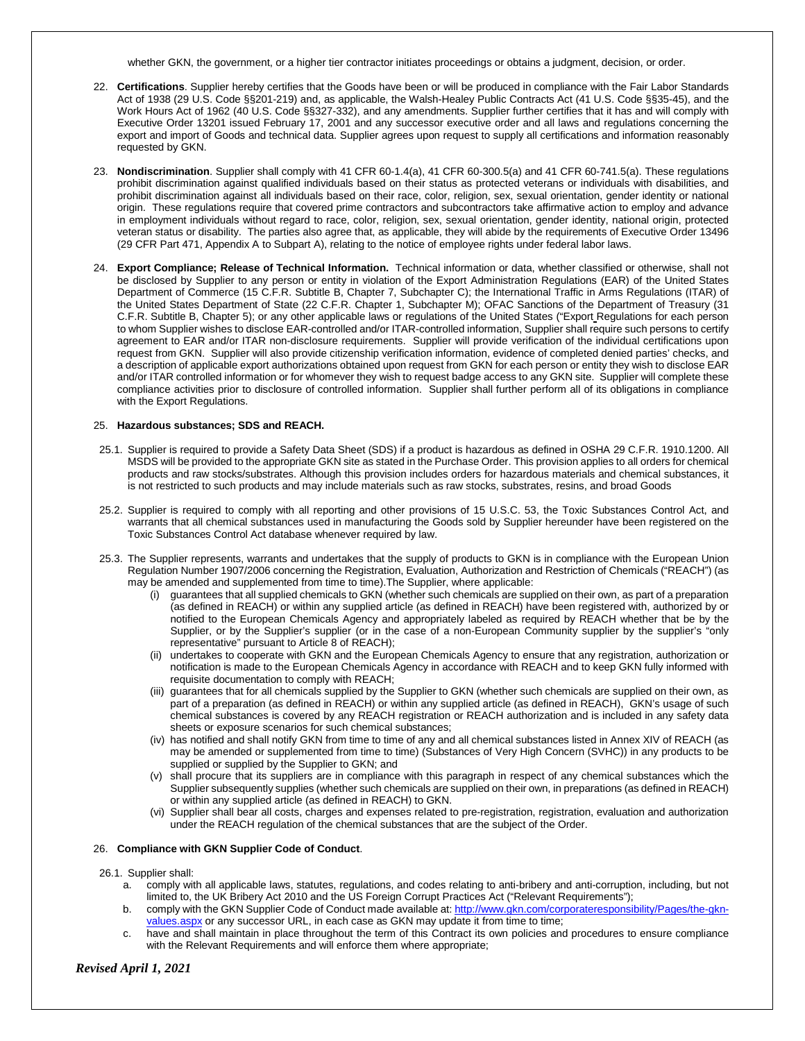whether GKN, the government, or a higher tier contractor initiates proceedings or obtains a judgment, decision, or order.

- 22. **Certifications**. Supplier hereby certifies that the Goods have been or will be produced in compliance with the Fair Labor Standards Act of 1938 (29 U.S. Code §§201-219) and, as applicable, the Walsh-Healey Public Contracts Act (41 U.S. Code §§35-45), and the Work Hours Act of 1962 (40 U.S. Code §§327-332), and any amendments. Supplier further certifies that it has and will comply with Executive Order 13201 issued February 17, 2001 and any successor executive order and all laws and regulations concerning the export and import of Goods and technical data. Supplier agrees upon request to supply all certifications and information reasonably requested by GKN.
- 23. **Nondiscrimination**. Supplier shall comply with 41 CFR 60-1.4(a), 41 CFR 60-300.5(a) and 41 CFR 60-741.5(a). These regulations prohibit discrimination against qualified individuals based on their status as protected veterans or individuals with disabilities, and prohibit discrimination against all individuals based on their race, color, religion, sex, sexual orientation, gender identity or national origin. These regulations require that covered prime contractors and subcontractors take affirmative action to employ and advance in employment individuals without regard to race, color, religion, sex, sexual orientation, gender identity, national origin, protected veteran status or disability. The parties also agree that, as applicable, they will abide by the requirements of Executive Order 13496 (29 CFR Part 471, Appendix A to Subpart A), relating to the notice of employee rights under federal labor laws.
- 24. **Export Compliance; Release of Technical Information.** Technical information or data, whether classified or otherwise, shall not be disclosed by Supplier to any person or entity in violation of the Export Administration Regulations (EAR) of the United States Department of Commerce (15 C.F.R. Subtitle B, Chapter 7, Subchapter C); the International Traffic in Arms Regulations (ITAR) of the United States Department of State (22 C.F.R. Chapter 1, Subchapter M); OFAC Sanctions of the Department of Treasury (31 C.F.R. Subtitle B, Chapter 5); or any other applicable laws or regulations of the United States ("Export Regulations for each person to whom Supplier wishes to disclose EAR-controlled and/or ITAR-controlled information, Supplier shall require such persons to certify agreement to EAR and/or ITAR non-disclosure requirements. Supplier will provide verification of the individual certifications upon request from GKN. Supplier will also provide citizenship verification information, evidence of completed denied parties' checks, and a description of applicable export authorizations obtained upon request from GKN for each person or entity they wish to disclose EAR and/or ITAR controlled information or for whomever they wish to request badge access to any GKN site. Supplier will complete these compliance activities prior to disclosure of controlled information. Supplier shall further perform all of its obligations in compliance with the Export Regulations.

# 25. **Hazardous substances; SDS and REACH.**

- 25.1. Supplier is required to provide a Safety Data Sheet (SDS) if a product is hazardous as defined in OSHA 29 C.F.R. 1910.1200. All MSDS will be provided to the appropriate GKN site as stated in the Purchase Order. This provision applies to all orders for chemical products and raw stocks/substrates. Although this provision includes orders for hazardous materials and chemical substances, it is not restricted to such products and may include materials such as raw stocks, substrates, resins, and broad Goods
- 25.2. Supplier is required to comply with all reporting and other provisions of 15 U.S.C. 53, the Toxic Substances Control Act, and warrants that all chemical substances used in manufacturing the Goods sold by Supplier hereunder have been registered on the Toxic Substances Control Act database whenever required by law.
- 25.3. The Supplier represents, warrants and undertakes that the supply of products to GKN is in compliance with the European Union Regulation Number 1907/2006 concerning the Registration, Evaluation, Authorization and Restriction of Chemicals ("REACH") (as may be amended and supplemented from time to time).The Supplier, where applicable:
	- (i) guarantees that all supplied chemicals to GKN (whether such chemicals are supplied on their own, as part of a preparation (as defined in REACH) or within any supplied article (as defined in REACH) have been registered with, authorized by or notified to the European Chemicals Agency and appropriately labeled as required by REACH whether that be by the Supplier, or by the Supplier's supplier (or in the case of a non-European Community supplier by the supplier's "only representative" pursuant to Article 8 of REACH);
	- (ii) undertakes to cooperate with GKN and the European Chemicals Agency to ensure that any registration, authorization or notification is made to the European Chemicals Agency in accordance with REACH and to keep GKN fully informed with requisite documentation to comply with REACH;
	- (iii) guarantees that for all chemicals supplied by the Supplier to GKN (whether such chemicals are supplied on their own, as part of a preparation (as defined in REACH) or within any supplied article (as defined in REACH), GKN's usage of such chemical substances is covered by any REACH registration or REACH authorization and is included in any safety data sheets or exposure scenarios for such chemical substances;
	- (iv) has notified and shall notify GKN from time to time of any and all chemical substances listed in Annex XIV of REACH (as may be amended or supplemented from time to time) (Substances of Very High Concern (SVHC)) in any products to be supplied or supplied by the Supplier to GKN; and
	- (v) shall procure that its suppliers are in compliance with this paragraph in respect of any chemical substances which the Supplier subsequently supplies (whether such chemicals are supplied on their own, in preparations (as defined in REACH) or within any supplied article (as defined in REACH) to GKN.
	- (vi) Supplier shall bear all costs, charges and expenses related to pre-registration, registration, evaluation and authorization under the REACH regulation of the chemical substances that are the subject of the Order.

#### 26. **Compliance with GKN Supplier Code of Conduct**.

26.1. Supplier shall:

- a. comply with all applicable laws, statutes, regulations, and codes relating to anti-bribery and anti-corruption, including, but not limited to, the UK Bribery Act 2010 and the US Foreign Corrupt Practices Act ("Relevant Requirements");
- b. comply with the GKN Supplier Code of Conduct made available at: [http://www.gkn.com/corporateresponsibility/Pages/the-gkn](http://www.gkn.com/corporateresponsibility/Pages/the-gkn-values.aspx)[values.aspx](http://www.gkn.com/corporateresponsibility/Pages/the-gkn-values.aspx) or any successor URL, in each case as GKN may update it from time to time;
- c. have and shall maintain in place throughout the term of this Contract its own policies and procedures to ensure compliance with the Relevant Requirements and will enforce them where appropriate;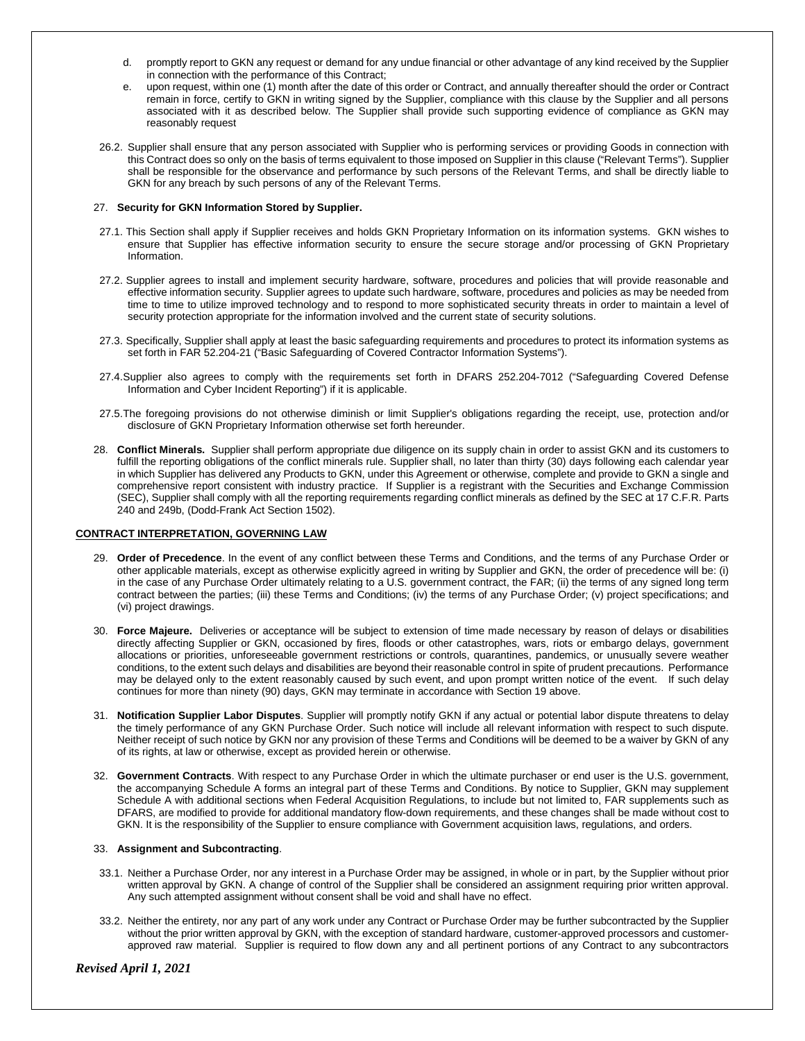- d. promptly report to GKN any request or demand for any undue financial or other advantage of any kind received by the Supplier in connection with the performance of this Contract;
- e. upon request, within one (1) month after the date of this order or Contract, and annually thereafter should the order or Contract remain in force, certify to GKN in writing signed by the Supplier, compliance with this clause by the Supplier and all persons associated with it as described below. The Supplier shall provide such supporting evidence of compliance as GKN may reasonably request
- 26.2. Supplier shall ensure that any person associated with Supplier who is performing services or providing Goods in connection with this Contract does so only on the basis of terms equivalent to those imposed on Supplier in this clause ("Relevant Terms"). Supplier shall be responsible for the observance and performance by such persons of the Relevant Terms, and shall be directly liable to GKN for any breach by such persons of any of the Relevant Terms.

# 27. **Security for GKN Information Stored by Supplier.**

- 27.1. This Section shall apply if Supplier receives and holds GKN Proprietary Information on its information systems. GKN wishes to ensure that Supplier has effective information security to ensure the secure storage and/or processing of GKN Proprietary Information.
- 27.2. Supplier agrees to install and implement security hardware, software, procedures and policies that will provide reasonable and effective information security. Supplier agrees to update such hardware, software, procedures and policies as may be needed from time to time to utilize improved technology and to respond to more sophisticated security threats in order to maintain a level of security protection appropriate for the information involved and the current state of security solutions.
- 27.3. Specifically, Supplier shall apply at least the basic safeguarding requirements and procedures to protect its information systems as set forth in FAR 52.204-21 ("Basic Safeguarding of Covered Contractor Information Systems").
- 27.4.Supplier also agrees to comply with the requirements set forth in DFARS 252.204-7012 ("Safeguarding Covered Defense Information and Cyber Incident Reporting") if it is applicable.
- 27.5.The foregoing provisions do not otherwise diminish or limit Supplier's obligations regarding the receipt, use, protection and/or disclosure of GKN Proprietary Information otherwise set forth hereunder.
- 28. **Conflict Minerals.** Supplier shall perform appropriate due diligence on its supply chain in order to assist GKN and its customers to fulfill the reporting obligations of the conflict minerals rule. Supplier shall, no later than thirty (30) days following each calendar year in which Supplier has delivered any Products to GKN, under this Agreement or otherwise, complete and provide to GKN a single and comprehensive report consistent with industry practice. If Supplier is a registrant with the Securities and Exchange Commission (SEC), Supplier shall comply with all the reporting requirements regarding conflict minerals as defined by the SEC at 17 C.F.R. Parts 240 and 249b, (Dodd-Frank Act Section 1502).

#### **CONTRACT INTERPRETATION, GOVERNING LAW**

- 29. **Order of Precedence**. In the event of any conflict between these Terms and Conditions, and the terms of any Purchase Order or other applicable materials, except as otherwise explicitly agreed in writing by Supplier and GKN, the order of precedence will be: (i) in the case of any Purchase Order ultimately relating to a U.S. government contract, the FAR; (ii) the terms of any signed long term contract between the parties; (iii) these Terms and Conditions; (iv) the terms of any Purchase Order; (v) project specifications; and (vi) project drawings.
- 30. **Force Majeure.** Deliveries or acceptance will be subject to extension of time made necessary by reason of delays or disabilities directly affecting Supplier or GKN, occasioned by fires, floods or other catastrophes, wars, riots or embargo delays, government allocations or priorities, unforeseeable government restrictions or controls, quarantines, pandemics, or unusually severe weather conditions, to the extent such delays and disabilities are beyond their reasonable control in spite of prudent precautions. Performance may be delayed only to the extent reasonably caused by such event, and upon prompt written notice of the event. If such delay continues for more than ninety (90) days, GKN may terminate in accordance with Section 19 above.
- 31. **Notification Supplier Labor Disputes**. Supplier will promptly notify GKN if any actual or potential labor dispute threatens to delay the timely performance of any GKN Purchase Order. Such notice will include all relevant information with respect to such dispute. Neither receipt of such notice by GKN nor any provision of these Terms and Conditions will be deemed to be a waiver by GKN of any of its rights, at law or otherwise, except as provided herein or otherwise.
- 32. **Government Contracts**. With respect to any Purchase Order in which the ultimate purchaser or end user is the U.S. government, the accompanying Schedule A forms an integral part of these Terms and Conditions. By notice to Supplier, GKN may supplement Schedule A with additional sections when Federal Acquisition Regulations, to include but not limited to, FAR supplements such as DFARS, are modified to provide for additional mandatory flow-down requirements, and these changes shall be made without cost to GKN. It is the responsibility of the Supplier to ensure compliance with Government acquisition laws, regulations, and orders.

#### 33. **Assignment and Subcontracting**.

- 33.1. Neither a Purchase Order, nor any interest in a Purchase Order may be assigned, in whole or in part, by the Supplier without prior written approval by GKN. A change of control of the Supplier shall be considered an assignment requiring prior written approval. Any such attempted assignment without consent shall be void and shall have no effect.
- 33.2. Neither the entirety, nor any part of any work under any Contract or Purchase Order may be further subcontracted by the Supplier without the prior written approval by GKN, with the exception of standard hardware, customer-approved processors and customerapproved raw material. Supplier is required to flow down any and all pertinent portions of any Contract to any subcontractors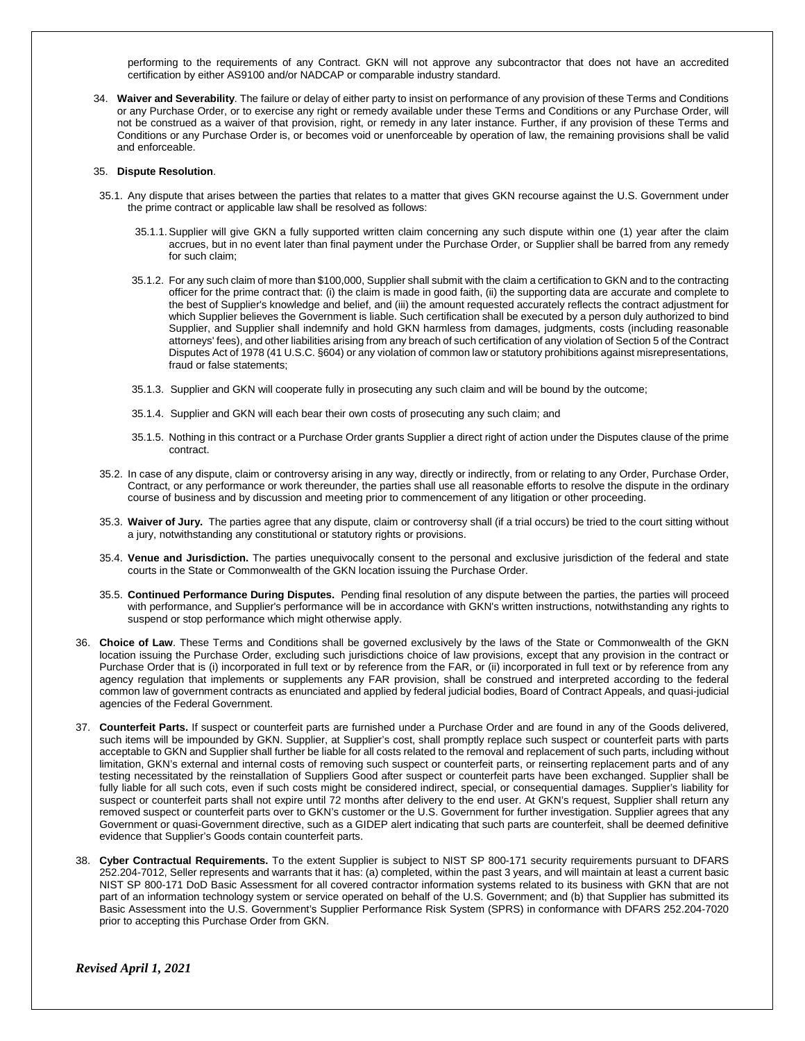performing to the requirements of any Contract. GKN will not approve any subcontractor that does not have an accredited certification by either AS9100 and/or NADCAP or comparable industry standard.

34. **Waiver and Severability**. The failure or delay of either party to insist on performance of any provision of these Terms and Conditions or any Purchase Order, or to exercise any right or remedy available under these Terms and Conditions or any Purchase Order, will not be construed as a waiver of that provision, right, or remedy in any later instance. Further, if any provision of these Terms and Conditions or any Purchase Order is, or becomes void or unenforceable by operation of law, the remaining provisions shall be valid and enforceable.

#### 35. **Dispute Resolution**.

- 35.1. Any dispute that arises between the parties that relates to a matter that gives GKN recourse against the U.S. Government under the prime contract or applicable law shall be resolved as follows:
	- 35.1.1.Supplier will give GKN a fully supported written claim concerning any such dispute within one (1) year after the claim accrues, but in no event later than final payment under the Purchase Order, or Supplier shall be barred from any remedy for such claim;
	- 35.1.2. For any such claim of more than \$100,000, Supplier shall submit with the claim a certification to GKN and to the contracting officer for the prime contract that: (i) the claim is made in good faith, (ii) the supporting data are accurate and complete to the best of Supplier's knowledge and belief, and (iii) the amount requested accurately reflects the contract adjustment for which Supplier believes the Government is liable. Such certification shall be executed by a person duly authorized to bind Supplier, and Supplier shall indemnify and hold GKN harmless from damages, judgments, costs (including reasonable attorneys' fees), and other liabilities arising from any breach of such certification of any violation of Section 5 of the Contract Disputes Act of 1978 (41 U.S.C. §604) or any violation of common law or statutory prohibitions against misrepresentations, fraud or false statements;
	- 35.1.3. Supplier and GKN will cooperate fully in prosecuting any such claim and will be bound by the outcome;
	- 35.1.4. Supplier and GKN will each bear their own costs of prosecuting any such claim; and
	- 35.1.5. Nothing in this contract or a Purchase Order grants Supplier a direct right of action under the Disputes clause of the prime contract.
- 35.2. In case of any dispute, claim or controversy arising in any way, directly or indirectly, from or relating to any Order, Purchase Order, Contract, or any performance or work thereunder, the parties shall use all reasonable efforts to resolve the dispute in the ordinary course of business and by discussion and meeting prior to commencement of any litigation or other proceeding.
- 35.3. **Waiver of Jury.** The parties agree that any dispute, claim or controversy shall (if a trial occurs) be tried to the court sitting without a jury, notwithstanding any constitutional or statutory rights or provisions.
- 35.4. **Venue and Jurisdiction.** The parties unequivocally consent to the personal and exclusive jurisdiction of the federal and state courts in the State or Commonwealth of the GKN location issuing the Purchase Order.
- 35.5. **Continued Performance During Disputes.** Pending final resolution of any dispute between the parties, the parties will proceed with performance, and Supplier's performance will be in accordance with GKN's written instructions, notwithstanding any rights to suspend or stop performance which might otherwise apply.
- 36. **Choice of Law**. These Terms and Conditions shall be governed exclusively by the laws of the State or Commonwealth of the GKN location issuing the Purchase Order, excluding such jurisdictions choice of law provisions, except that any provision in the contract or Purchase Order that is (i) incorporated in full text or by reference from the FAR, or (ii) incorporated in full text or by reference from any agency regulation that implements or supplements any FAR provision, shall be construed and interpreted according to the federal common law of government contracts as enunciated and applied by federal judicial bodies, Board of Contract Appeals, and quasi-judicial agencies of the Federal Government.
- 37. **Counterfeit Parts.** If suspect or counterfeit parts are furnished under a Purchase Order and are found in any of the Goods delivered, such items will be impounded by GKN. Supplier, at Supplier's cost, shall promptly replace such suspect or counterfeit parts with parts acceptable to GKN and Supplier shall further be liable for all costs related to the removal and replacement of such parts, including without limitation, GKN's external and internal costs of removing such suspect or counterfeit parts, or reinserting replacement parts and of any testing necessitated by the reinstallation of Suppliers Good after suspect or counterfeit parts have been exchanged. Supplier shall be fully liable for all such cots, even if such costs might be considered indirect, special, or consequential damages. Supplier's liability for suspect or counterfeit parts shall not expire until 72 months after delivery to the end user. At GKN's request, Supplier shall return any removed suspect or counterfeit parts over to GKN's customer or the U.S. Government for further investigation. Supplier agrees that any Government or quasi-Government directive, such as a GIDEP alert indicating that such parts are counterfeit, shall be deemed definitive evidence that Supplier's Goods contain counterfeit parts.
- 38. **Cyber Contractual Requirements.** To the extent Supplier is subject to NIST SP 800-171 security requirements pursuant to DFARS 252.204-7012, Seller represents and warrants that it has: (a) completed, within the past 3 years, and will maintain at least a current basic NIST SP 800-171 DoD Basic Assessment for all covered contractor information systems related to its business with GKN that are not part of an information technology system or service operated on behalf of the U.S. Government; and (b) that Supplier has submitted its Basic Assessment into the U.S. Government's Supplier Performance Risk System (SPRS) in conformance with DFARS 252.204-7020 prior to accepting this Purchase Order from GKN.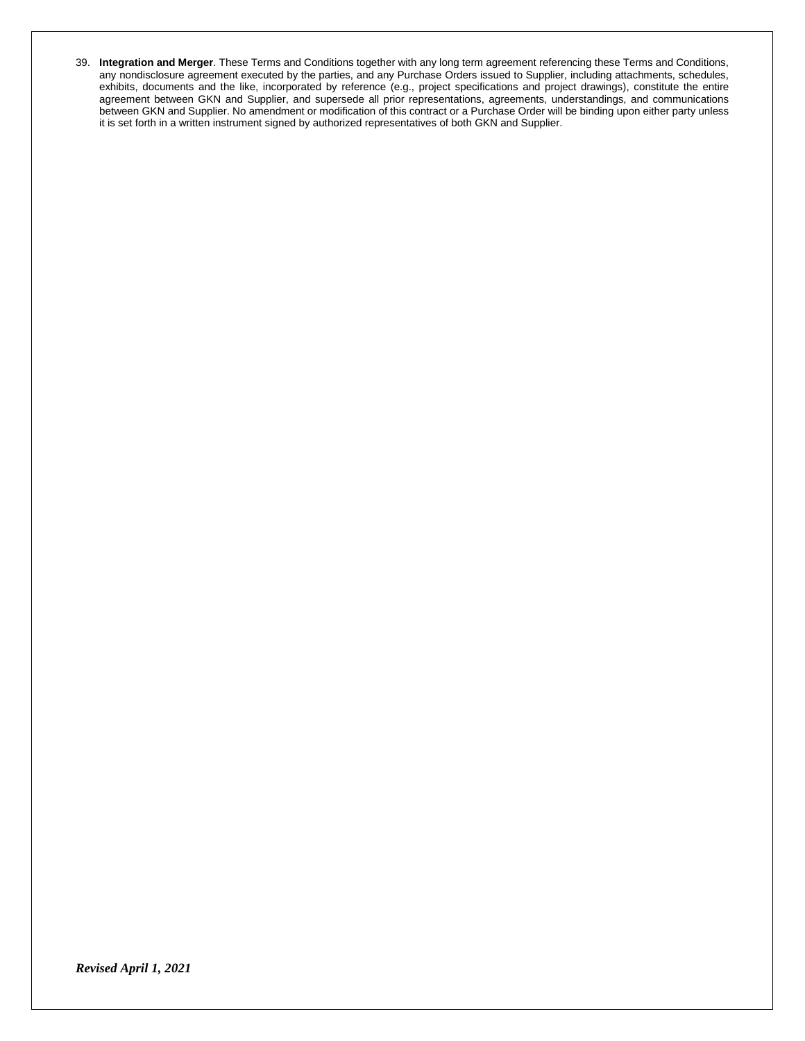39. **Integration and Merger**. These Terms and Conditions together with any long term agreement referencing these Terms and Conditions, any nondisclosure agreement executed by the parties, and any Purchase Orders issued to Supplier, including attachments, schedules, exhibits, documents and the like, incorporated by reference (e.g., project specifications and project drawings), constitute the entire agreement between GKN and Supplier, and supersede all prior representations, agreements, understandings, and communications between GKN and Supplier. No amendment or modification of this contract or a Purchase Order will be binding upon either party unless it is set forth in a written instrument signed by authorized representatives of both GKN and Supplier.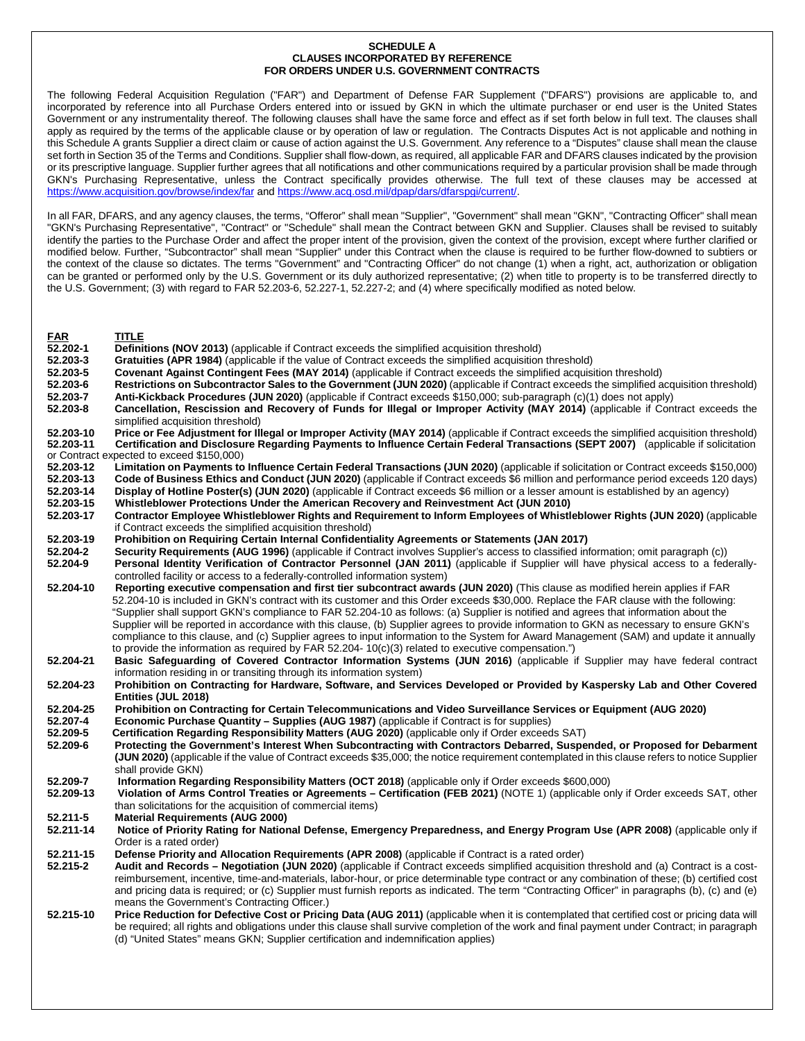#### **SCHEDULE A CLAUSES INCORPORATED BY REFERENCE FOR ORDERS UNDER U.S. GOVERNMENT CONTRACTS**

The following Federal Acquisition Regulation ("FAR") and Department of Defense FAR Supplement ("DFARS") provisions are applicable to, and incorporated by reference into all Purchase Orders entered into or issued by GKN in which the ultimate purchaser or end user is the United States Government or any instrumentality thereof. The following clauses shall have the same force and effect as if set forth below in full text. The clauses shall apply as required by the terms of the applicable clause or by operation of law or regulation. The Contracts Disputes Act is not applicable and nothing in this Schedule A grants Supplier a direct claim or cause of action against the U.S. Government. Any reference to a "Disputes" clause shall mean the clause set forth in Section 35 of the Terms and Conditions. Supplier shall flow-down, as required, all applicable FAR and DFARS clauses indicated by the provision or its prescriptive language. Supplier further agrees that all notifications and other communications required by a particular provision shall be made through GKN's Purchasing Representative, unless the Contract specifically provides otherwise. The full text of these clauses may be accessed at <https://www.acquisition.gov/browse/index/far> an[d https://www.acq.osd.mil/dpap/dars/dfarspgi/current/.](https://www.acq.osd.mil/dpap/dars/dfarspgi/current/)

In all FAR, DFARS, and any agency clauses, the terms, "Offeror" shall mean "Supplier", "Government" shall mean "GKN", "Contracting Officer" shall mean "GKN's Purchasing Representative", "Contract" or "Schedule" shall mean the Contract between GKN and Supplier. Clauses shall be revised to suitably identify the parties to the Purchase Order and affect the proper intent of the provision, given the context of the provision, except where further clarified or modified below. Further, "Subcontractor" shall mean "Supplier" under this Contract when the clause is required to be further flow-downed to subtiers or the context of the clause so dictates. The terms "Government" and "Contracting Officer" do not change (1) when a right, act, authorization or obligation can be granted or performed only by the U.S. Government or its duly authorized representative; (2) when title to property is to be transferred directly to the U.S. Government; (3) with regard to FAR 52.203-6, 52.227-1, 52.227-2; and (4) where specifically modified as noted below.

- **FAR TITLE**
- **52.202-1 Definitions (NOV 2013)** (applicable if Contract exceeds the simplified acquisition threshold)
- **52.203-3 Gratuities (APR 1984)** (applicable if the value of Contract exceeds the simplified acquisition threshold) **52.203-5 Covenant Against Contingent Fees (MAY 2014)** (applicable if Contract exceeds the simplified acquisition threshold)
- **52.203-6 Restrictions on Subcontractor Sales to the Government (JUN 2020)** (applicable if Contract exceeds the simplified acquisition threshold)<br>**52.203-7 Anti-Kickback Procedures (JUN 2020)** (applicable if Contract e
- **52.203-7 Anti-Kickback Procedures (JUN 2020)** (applicable if Contract exceeds \$150,000; sub-paragraph (c)(1) does not apply) Cancellation, Rescission and Recovery of Funds for Illegal or Improper Activity (MAY 2014) (applicable if Contract exceeds the simplified acquisition threshold)
- **52.203-10** Price or Fee Adjustment for Illegal or Improper Activity (MAY 2014) (applicable if Contract exceeds the simplified acquisition threshold) **52.203-11** Certification and Disclosure Regarding Payments to Influence **52.203-11 Certification and Disclosure Regarding Payments to Influence Certain Federal Transactions (SEPT 2007)** (applicable if solicitation
- or Contract expected to exceed \$150,000)<br>52.203-12 Limitation on Payments to **52.203-12 Limitation on Payments to Influence Certain Federal Transactions (JUN 2020)** (applicable if solicitation or Contract exceeds \$150,000) **52.203-13 Code of Business Ethics and Conduct (JUN 2020)** (applicable if Contract exceeds \$6 million and performance period exceeds 120 days)
- **52.203-14 Display of Hotline Poster(s) (JUN 2020)** (applicable if Contract exceeds \$6 million or a lesser amount is established by an agency) **52.203-15 Whistleblower Protections Under the American Recovery and Reinvestment Act (JUN 2010)**
- **52.203-17 Contractor Employee Whistleblower Rights and Requirement to Inform Employees of Whistleblower Rights (JUN 2020)** (applicable if Contract exceeds the simplified acquisition threshold)
- **52.203-19 Prohibition on Requiring Certain Internal Confidentiality Agreements or Statements (JAN 2017)**
- **52.204-2 Security Requirements (AUG 1996)** (applicable if Contract involves Supplier's access to classified information; omit paragraph (c))
- Personal Identity Verification of Contractor Personnel (JAN 2011) (applicable if Supplier will have physical access to a federallycontrolled facility or access to a federally-controlled information system)
- **52.204-10 Reporting executive compensation and first tier subcontract awards (JUN 2020)** (This clause as modified herein applies if FAR 52.204-10 is included in GKN's contract with its customer and this Order exceeds \$30,000. Replace the FAR clause with the following: "Supplier shall support GKN's compliance to FAR 52.204-10 as follows: (a) Supplier is notified and agrees that information about the Supplier will be reported in accordance with this clause, (b) Supplier agrees to provide information to GKN as necessary to ensure GKN's compliance to this clause, and (c) Supplier agrees to input information to the System for Award Management (SAM) and update it annually to provide the information as required by  $FAR 52.204 - 10(c)(3)$  related to executive compensation.")
- **52.204-21 Basic Safeguarding of Covered Contractor Information Systems (JUN 2016)** (applicable if Supplier may have federal contract information residing in or transiting through its information system)
- **52.204-23 Prohibition on Contracting for Hardware, Software, and Services Developed or Provided by Kaspersky Lab and Other Covered Entities (JUL 2018)**
- **52.204-25 Prohibition on Contracting for Certain Telecommunications and Video Surveillance Services or Equipment (AUG 2020)**
- **52.207-4 Economic Purchase Quantity – Supplies (AUG 1987)** (applicable if Contract is for supplies)
- **52.209-5 Certification Regarding Responsibility Matters (AUG 2020)** (applicable only if Order exceeds SAT)
- **52.209-6 Protecting the Government's Interest When Subcontracting with Contractors Debarred, Suspended, or Proposed for Debarment (JUN 2020)** (applicable if the value of Contract exceeds \$35,000; the notice requirement contemplated in this clause refers to notice Supplier shall provide GKN)
- **52.209-7 Information Regarding Responsibility Matters (OCT 2018)** (applicable only if Order exceeds \$600,000)
- **52.209-13 Violation of Arms Control Treaties or Agreements – Certification (FEB 2021)** (NOTE 1) (applicable only if Order exceeds SAT, other than solicitations for the acquisition of commercial items)
- **52.211-5 Material Requirements (AUG 2000)**
- **52.211-14 Notice of Priority Rating for National Defense, Emergency Preparedness, and Energy Program Use (APR 2008)** (applicable only if Order is a rated order)
- **52.211-15 Defense Priority and Allocation Requirements (APR 2008)** (applicable if Contract is a rated order)<br>**52.215-2 Audit and Records Negotiation (JUN 2020)** (applicable if Contract exceeds simplified acquisition
- **52.215-2 Audit and Records – Negotiation (JUN 2020)** (applicable if Contract exceeds simplified acquisition threshold and (a) Contract is a costreimbursement, incentive, time-and-materials, labor-hour, or price determinable type contract or any combination of these; (b) certified cost and pricing data is required; or (c) Supplier must furnish reports as indicated. The term "Contracting Officer" in paragraphs (b), (c) and (e) means the Government's Contracting Officer.)
- **52.215-10 Price Reduction for Defective Cost or Pricing Data (AUG 2011)** (applicable when it is contemplated that certified cost or pricing data will be required; all rights and obligations under this clause shall survive completion of the work and final payment under Contract; in paragraph (d) "United States" means GKN; Supplier certification and indemnification applies)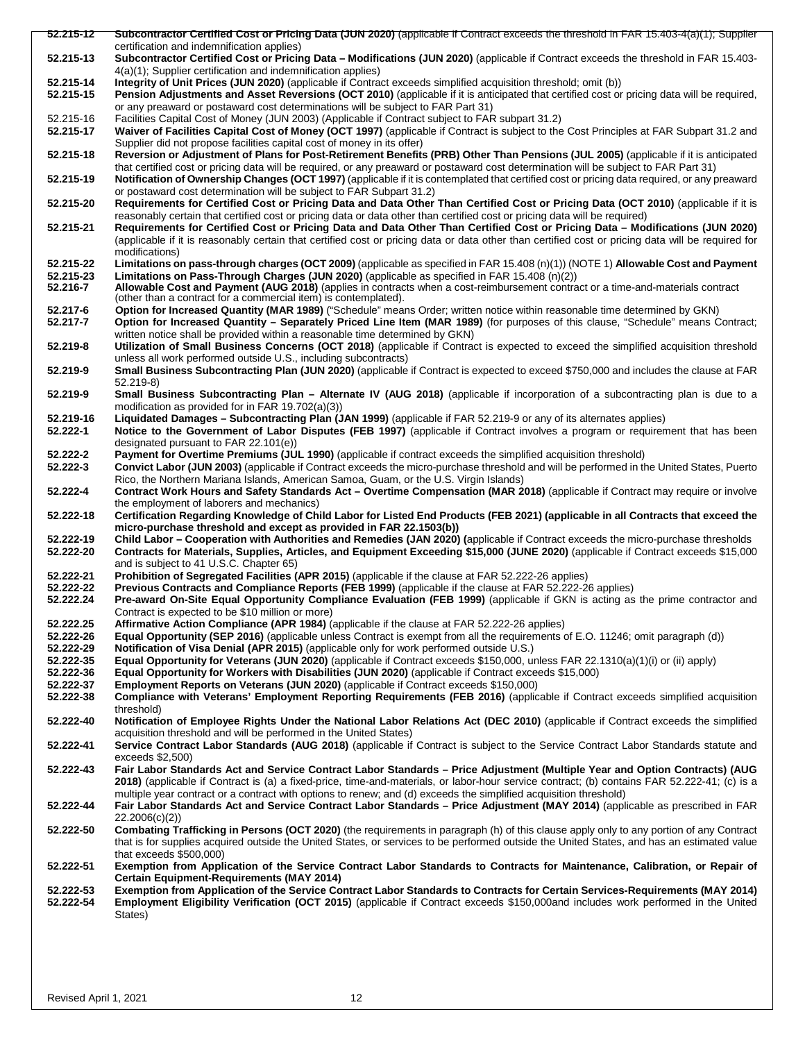| 52.215-12 | Subcontractor Certified Cost or Pricing Data (JUN 2020) (applicable if Contract exceeds the threshold in FAR 15.403-4(a)(1); Supplier              |
|-----------|----------------------------------------------------------------------------------------------------------------------------------------------------|
|           | certification and indemnification applies)                                                                                                         |
| 52.215-13 | Subcontractor Certified Cost or Pricing Data - Modifications (JUN 2020) (applicable if Contract exceeds the threshold in FAR 15.403-               |
|           | 4(a)(1); Supplier certification and indemnification applies)                                                                                       |
| 52.215-14 | Integrity of Unit Prices (JUN 2020) (applicable if Contract exceeds simplified acquisition threshold; omit (b))                                    |
| 52.215-15 | Pension Adjustments and Asset Reversions (OCT 2010) (applicable if it is anticipated that certified cost or pricing data will be required,         |
|           | or any preaward or postaward cost determinations will be subject to FAR Part 31)                                                                   |
| 52.215-16 | Facilities Capital Cost of Money (JUN 2003) (Applicable if Contract subject to FAR subpart 31.2)                                                   |
| 52.215-17 | Waiver of Facilities Capital Cost of Money (OCT 1997) (applicable if Contract is subject to the Cost Principles at FAR Subpart 31.2 and            |
|           | Supplier did not propose facilities capital cost of money in its offer)                                                                            |
| 52.215-18 | Reversion or Adjustment of Plans for Post-Retirement Benefits (PRB) Other Than Pensions (JUL 2005) (applicable if it is anticipated                |
|           | that certified cost or pricing data will be required, or any preaward or postaward cost determination will be subject to FAR Part 31)              |
| 52.215-19 | Notification of Ownership Changes (OCT 1997) (applicable if it is contemplated that certified cost or pricing data required, or any preaward       |
|           | or postaward cost determination will be subject to FAR Subpart 31.2)                                                                               |
| 52.215-20 | Requirements for Certified Cost or Pricing Data and Data Other Than Certified Cost or Pricing Data (OCT 2010) (applicable if it is                 |
|           | reasonably certain that certified cost or pricing data or data other than certified cost or pricing data will be required)                         |
| 52.215-21 | Requirements for Certified Cost or Pricing Data and Data Other Than Certified Cost or Pricing Data - Modifications (JUN 2020)                      |
|           | (applicable if it is reasonably certain that certified cost or pricing data or data other than certified cost or pricing data will be required for |
|           | modifications)                                                                                                                                     |
| 52.215-22 | Limitations on pass-through charges (OCT 2009) (applicable as specified in FAR 15.408 (n)(1)) (NOTE 1) Allowable Cost and Payment                  |
| 52.215-23 | Limitations on Pass-Through Charges (JUN 2020) (applicable as specified in FAR 15.408 (n)(2))                                                      |
| 52.216-7  | Allowable Cost and Payment (AUG 2018) (applies in contracts when a cost-reimbursement contract or a time-and-materials contract                    |
|           | (other than a contract for a commercial item) is contemplated).                                                                                    |
| 52.217-6  | Option for Increased Quantity (MAR 1989) ("Schedule" means Order; written notice within reasonable time determined by GKN)                         |
| 52.217-7  | Option for Increased Quantity - Separately Priced Line Item (MAR 1989) (for purposes of this clause, "Schedule" means Contract;                    |
|           | written notice shall be provided within a reasonable time determined by GKN)                                                                       |
| 52.219-8  | Utilization of Small Business Concerns (OCT 2018) (applicable if Contract is expected to exceed the simplified acquisition threshold               |
|           | unless all work performed outside U.S., including subcontracts)                                                                                    |
| 52.219-9  | Small Business Subcontracting Plan (JUN 2020) (applicable if Contract is expected to exceed \$750,000 and includes the clause at FAR               |
|           | $52.219-8$                                                                                                                                         |
| 52.219-9  | Small Business Subcontracting Plan – Alternate IV (AUG 2018) (applicable if incorporation of a subcontracting plan is due to a                     |
|           | modification as provided for in FAR 19.702(a)(3))                                                                                                  |
| 52.219-16 | Liquidated Damages – Subcontracting Plan (JAN 1999) (applicable if FAR 52.219-9 or any of its alternates applies)                                  |
| 52.222-1  | Notice to the Government of Labor Disputes (FEB 1997) (applicable if Contract involves a program or requirement that has been                      |
|           | designated pursuant to FAR 22.101(e))                                                                                                              |
| 52.222-2  | Payment for Overtime Premiums (JUL 1990) (applicable if contract exceeds the simplified acquisition threshold)                                     |
| 52.222-3  | Convict Labor (JUN 2003) (applicable if Contract exceeds the micro-purchase threshold and will be performed in the United States, Puerto           |
|           | Rico, the Northern Mariana Islands, American Samoa, Guam, or the U.S. Virgin Islands)                                                              |
| 52.222-4  | Contract Work Hours and Safety Standards Act - Overtime Compensation (MAR 2018) (applicable if Contract may require or involve                     |
|           | the employment of laborers and mechanics)                                                                                                          |
| 52.222-18 | Certification Regarding Knowledge of Child Labor for Listed End Products (FEB 2021) (applicable in all Contracts that exceed the                   |
|           | micro-purchase threshold and except as provided in FAR 22.1503(b))                                                                                 |
| 52.222-19 | Child Labor - Cooperation with Authorities and Remedies (JAN 2020) (applicable if Contract exceeds the micro-purchase thresholds                   |
| 52.222-20 | Contracts for Materials, Supplies, Articles, and Equipment Exceeding \$15,000 (JUNE 2020) (applicable if Contract exceeds \$15,000                 |
|           | and is subject to 41 U.S.C. Chapter 65)                                                                                                            |
| 52.222-21 | Prohibition of Segregated Facilities (APR 2015) (applicable if the clause at FAR 52.222-26 applies)                                                |
| 52.222-22 | Previous Contracts and Compliance Reports (FEB 1999) (applicable if the clause at FAR 52.222-26 applies)                                           |
| 52.222.24 | Pre-award On-Site Equal Opportunity Compliance Evaluation (FEB 1999) (applicable if GKN is acting as the prime contractor and                      |
|           | Contract is expected to be \$10 million or more)                                                                                                   |
| 52.222.25 | Affirmative Action Compliance (APR 1984) (applicable if the clause at FAR 52.222-26 applies)                                                       |
| 52.222-26 | Equal Opportunity (SEP 2016) (applicable unless Contract is exempt from all the requirements of E.O. 11246; omit paragraph (d))                    |
| 52.222-29 | Notification of Visa Denial (APR 2015) (applicable only for work performed outside U.S.)                                                           |
| 52.222-35 | Equal Opportunity for Veterans (JUN 2020) (applicable if Contract exceeds \$150,000, unless FAR 22.1310(a)(1)(i) or (ii) apply)                    |
| 52.222-36 | Equal Opportunity for Workers with Disabilities (JUN 2020) (applicable if Contract exceeds \$15,000)                                               |
| 52.222-37 | Employment Reports on Veterans (JUN 2020) (applicable if Contract exceeds \$150,000)                                                               |
| 52.222-38 | Compliance with Veterans' Employment Reporting Requirements (FEB 2016) (applicable if Contract exceeds simplified acquisition                      |
|           | threshold)                                                                                                                                         |
| 52.222-40 | Notification of Employee Rights Under the National Labor Relations Act (DEC 2010) (applicable if Contract exceeds the simplified                   |
|           | acquisition threshold and will be performed in the United States)                                                                                  |
| 52.222-41 | Service Contract Labor Standards (AUG 2018) (applicable if Contract is subject to the Service Contract Labor Standards statute and                 |
|           | $exceeds$ \$2,500)                                                                                                                                 |
| 52.222-43 | Fair Labor Standards Act and Service Contract Labor Standards - Price Adjustment (Multiple Year and Option Contracts) (AUG                         |
|           | 2018) (applicable if Contract is (a) a fixed-price, time-and-materials, or labor-hour service contract; (b) contains FAR 52.222-41; (c) is a       |
|           | multiple year contract or a contract with options to renew; and (d) exceeds the simplified acquisition threshold)                                  |
| 52.222-44 | Fair Labor Standards Act and Service Contract Labor Standards - Price Adjustment (MAY 2014) (applicable as prescribed in FAR                       |
|           | 22.2006(c)(2)                                                                                                                                      |
| 52.222-50 | Combating Trafficking in Persons (OCT 2020) (the requirements in paragraph (h) of this clause apply only to any portion of any Contract            |
|           | that is for supplies acquired outside the United States, or services to be performed outside the United States, and has an estimated value         |
|           | that exceeds $$500,000$                                                                                                                            |
| 52.222-51 | Exemption from Application of the Service Contract Labor Standards to Contracts for Maintenance, Calibration, or Repair of                         |
|           | <b>Certain Equipment-Requirements (MAY 2014)</b>                                                                                                   |
| 52.222-53 | Exemption from Application of the Service Contract Labor Standards to Contracts for Certain Services-Requirements (MAY 2014)                       |
| 52.222-54 | Employment Eligibility Verification (OCT 2015) (applicable if Contract exceeds \$150,000and includes work performed in the United                  |
|           | States)                                                                                                                                            |
|           |                                                                                                                                                    |
|           |                                                                                                                                                    |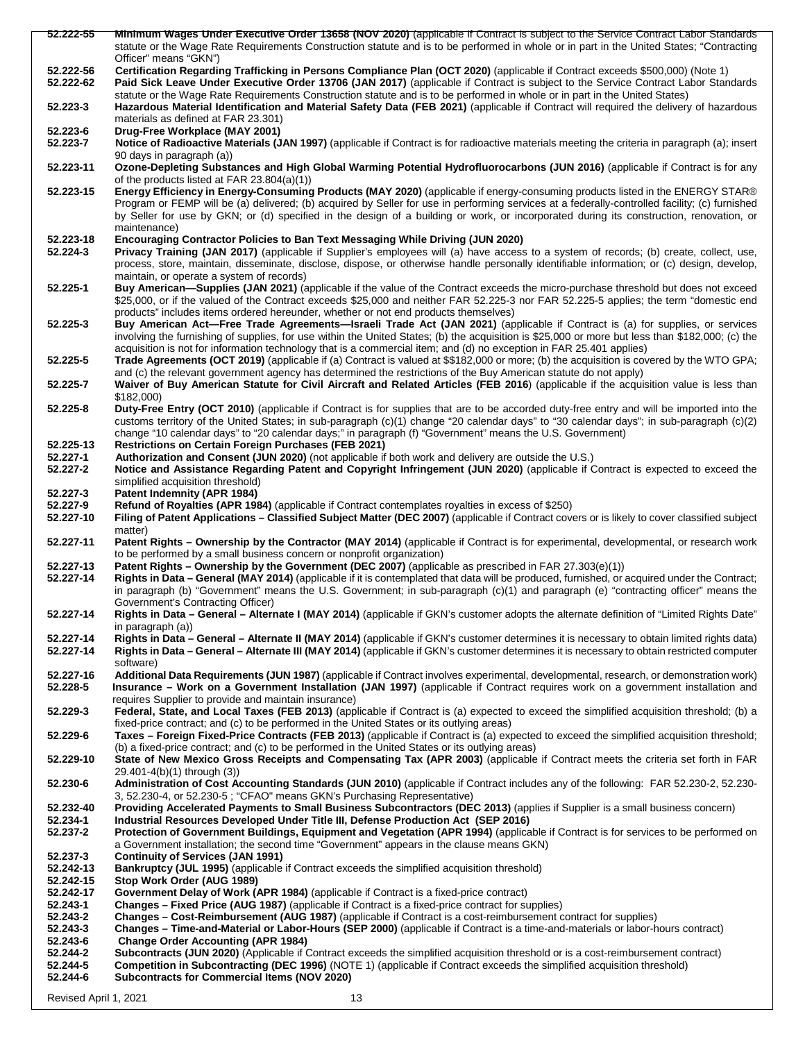| 52.222-55 | Minimum Wages Under Executive Order 13658 (NOV 2020) (applicable if Contract is subject to the Service Contract Labor Standards                  |
|-----------|--------------------------------------------------------------------------------------------------------------------------------------------------|
|           | statute or the Wage Rate Requirements Construction statute and is to be performed in whole or in part in the United States; "Contracting         |
|           | Officer" means "GKN")                                                                                                                            |
| 52.222-56 | Certification Regarding Trafficking in Persons Compliance Plan (OCT 2020) (applicable if Contract exceeds \$500,000) (Note 1)                    |
| 52.222-62 | Paid Sick Leave Under Executive Order 13706 (JAN 2017) (applicable if Contract is subject to the Service Contract Labor Standards                |
|           | statute or the Wage Rate Requirements Construction statute and is to be performed in whole or in part in the United States)                      |
| 52.223-3  | Hazardous Material Identification and Material Safety Data (FEB 2021) (applicable if Contract will required the delivery of hazardous            |
|           | materials as defined at FAR 23.301)                                                                                                              |
| 52.223-6  | Drug-Free Workplace (MAY 2001)                                                                                                                   |
| 52.223-7  | Notice of Radioactive Materials (JAN 1997) (applicable if Contract is for radioactive materials meeting the criteria in paragraph (a); insert    |
|           |                                                                                                                                                  |
| 52.223-11 | 90 days in paragraph (a))                                                                                                                        |
|           | Ozone-Depleting Substances and High Global Warming Potential Hydrofluorocarbons (JUN 2016) (applicable if Contract is for any                    |
|           | of the products listed at FAR 23.804(a)(1))                                                                                                      |
| 52.223-15 | Energy Efficiency in Energy-Consuming Products (MAY 2020) (applicable if energy-consuming products listed in the ENERGY STAR®                    |
|           | Program or FEMP will be (a) delivered; (b) acquired by Seller for use in performing services at a federally-controlled facility; (c) furnished   |
|           | by Seller for use by GKN; or (d) specified in the design of a building or work, or incorporated during its construction, renovation, or          |
|           | maintenance)                                                                                                                                     |
| 52.223-18 | <b>Encouraging Contractor Policies to Ban Text Messaging While Driving (JUN 2020)</b>                                                            |
| 52.224-3  | Privacy Training (JAN 2017) (applicable if Supplier's employees will (a) have access to a system of records; (b) create, collect, use,           |
|           | process, store, maintain, disseminate, disclose, dispose, or otherwise handle personally identifiable information; or (c) design, develop,       |
|           | maintain, or operate a system of records)                                                                                                        |
| 52.225-1  | Buy American—Supplies (JAN 2021) (applicable if the value of the Contract exceeds the micro-purchase threshold but does not exceed               |
|           | \$25,000, or if the valued of the Contract exceeds \$25,000 and neither FAR 52.225-3 nor FAR 52.225-5 applies; the term "domestic end            |
|           | products" includes items ordered hereunder, whether or not end products themselves)                                                              |
| 52.225-3  | Buy American Act-Free Trade Agreements-Israeli Trade Act (JAN 2021) (applicable if Contract is (a) for supplies, or services                     |
|           | involving the furnishing of supplies, for use within the United States; (b) the acquisition is \$25,000 or more but less than \$182,000; (c) the |
|           | acquisition is not for information technology that is a commercial item; and (d) no exception in FAR 25.401 applies)                             |
| 52.225-5  | Trade Agreements (OCT 2019) (applicable if (a) Contract is valued at \$\$182,000 or more; (b) the acquisition is covered by the WTO GPA;         |
|           | and (c) the relevant government agency has determined the restrictions of the Buy American statute do not apply)                                 |
|           |                                                                                                                                                  |
| 52.225-7  | Waiver of Buy American Statute for Civil Aircraft and Related Articles (FEB 2016) (applicable if the acquisition value is less than              |
|           | \$182,000                                                                                                                                        |
| 52.225-8  | Duty-Free Entry (OCT 2010) (applicable if Contract is for supplies that are to be accorded duty-free entry and will be imported into the         |
|           | customs territory of the United States; in sub-paragraph (c)(1) change "20 calendar days" to "30 calendar days"; in sub-paragraph (c)(2)         |
|           | change "10 calendar days" to "20 calendar days;" in paragraph (f) "Government" means the U.S. Government)                                        |
| 52.225-13 | <b>Restrictions on Certain Foreign Purchases (FEB 2021)</b>                                                                                      |
| 52.227-1  | Authorization and Consent (JUN 2020) (not applicable if both work and delivery are outside the U.S.)                                             |
| 52.227-2  | Notice and Assistance Regarding Patent and Copyright Infringement (JUN 2020) (applicable if Contract is expected to exceed the                   |
|           | simplified acquisition threshold)                                                                                                                |
| 52.227-3  | Patent Indemnity (APR 1984)                                                                                                                      |
| 52.227-9  | Refund of Royalties (APR 1984) (applicable if Contract contemplates royalties in excess of \$250)                                                |
| 52.227-10 | Filing of Patent Applications – Classified Subject Matter (DEC 2007) (applicable if Contract covers or is likely to cover classified subject     |
|           | matter)                                                                                                                                          |
| 52.227-11 | Patent Rights – Ownership by the Contractor (MAY 2014) (applicable if Contract is for experimental, developmental, or research work              |
|           | to be performed by a small business concern or nonprofit organization)                                                                           |
| 52.227-13 | Patent Rights – Ownership by the Government (DEC 2007) (applicable as prescribed in FAR 27.303(e)(1))                                            |
| 52.227-14 | Rights in Data - General (MAY 2014) (applicable if it is contemplated that data will be produced, furnished, or acquired under the Contract;     |
|           | in paragraph (b) "Government" means the U.S. Government; in sub-paragraph (c)(1) and paragraph (e) "contracting officer" means the               |
|           | Government's Contracting Officer)                                                                                                                |
|           |                                                                                                                                                  |
| 52.227-14 | Rights in Data - General - Alternate I (MAY 2014) (applicable if GKN's customer adopts the alternate definition of "Limited Rights Date"         |
|           | in paragraph (a))                                                                                                                                |
| 52.227-14 | Rights in Data – General – Alternate II (MAY 2014) (applicable if GKN's customer determines it is necessary to obtain limited rights data)       |
| 52.227-14 | Rights in Data – General – Alternate III (MAY 2014) (applicable if GKN's customer determines it is necessary to obtain restricted computer       |
|           | software)                                                                                                                                        |
| 52.227-16 | Additional Data Requirements (JUN 1987) (applicable if Contract involves experimental, developmental, research, or demonstration work)           |
| 52.228-5  | Insurance – Work on a Government Installation (JAN 1997) (applicable if Contract requires work on a government installation and                  |
|           | requires Supplier to provide and maintain insurance)                                                                                             |
| 52.229-3  | Federal, State, and Local Taxes (FEB 2013) (applicable if Contract is (a) expected to exceed the simplified acquisition threshold; (b) a         |
|           | fixed-price contract; and (c) to be performed in the United States or its outlying areas)                                                        |
| 52.229-6  | Taxes - Foreign Fixed-Price Contracts (FEB 2013) (applicable if Contract is (a) expected to exceed the simplified acquisition threshold;         |
|           | (b) a fixed-price contract; and (c) to be performed in the United States or its outlying areas)                                                  |
| 52.229-10 | State of New Mexico Gross Receipts and Compensating Tax (APR 2003) (applicable if Contract meets the criteria set forth in FAR                   |
|           | 29.401-4(b)(1) through (3))                                                                                                                      |
| 52.230-6  | Administration of Cost Accounting Standards (JUN 2010) (applicable if Contract includes any of the following: FAR 52.230-2, 52.230-              |
|           | 3, 52.230-4, or 52.230-5; "CFAO" means GKN's Purchasing Representative)                                                                          |
| 52.232-40 | Providing Accelerated Payments to Small Business Subcontractors (DEC 2013) (applies if Supplier is a small business concern)                     |
| 52.234-1  | Industrial Resources Developed Under Title III, Defense Production Act (SEP 2016)                                                                |
| 52.237-2  | Protection of Government Buildings, Equipment and Vegetation (APR 1994) (applicable if Contract is for services to be performed on               |
|           |                                                                                                                                                  |
|           | a Government installation; the second time "Government" appears in the clause means GKN)                                                         |
| 52.237-3  | <b>Continuity of Services (JAN 1991)</b>                                                                                                         |
| 52.242-13 | <b>Bankruptcy (JUL 1995)</b> (applicable if Contract exceeds the simplified acquisition threshold)                                               |
| 52.242-15 | Stop Work Order (AUG 1989)                                                                                                                       |
| 52.242-17 | Government Delay of Work (APR 1984) (applicable if Contract is a fixed-price contract)                                                           |
| 52.243-1  | <b>Changes – Fixed Price (AUG 1987)</b> (applicable if Contract is a fixed-price contract for supplies)                                          |
| 52.243-2  | Changes – Cost-Reimbursement (AUG 1987) (applicable if Contract is a cost-reimbursement contract for supplies)                                   |
| 52.243-3  | Changes - Time-and-Material or Labor-Hours (SEP 2000) (applicable if Contract is a time-and-materials or labor-hours contract)                   |
| 52.243-6  | <b>Change Order Accounting (APR 1984)</b>                                                                                                        |
| 52.244-2  | <b>Subcontracts (JUN 2020)</b> (Applicable if Contract exceeds the simplified acquisition threshold or is a cost-reimbursement contract)         |
| 52.244-5  | Competition in Subcontracting (DEC 1996) (NOTE 1) (applicable if Contract exceeds the simplified acquisition threshold)                          |
| 52.244-6  | Subcontracts for Commercial Items (NOV 2020)                                                                                                     |
|           |                                                                                                                                                  |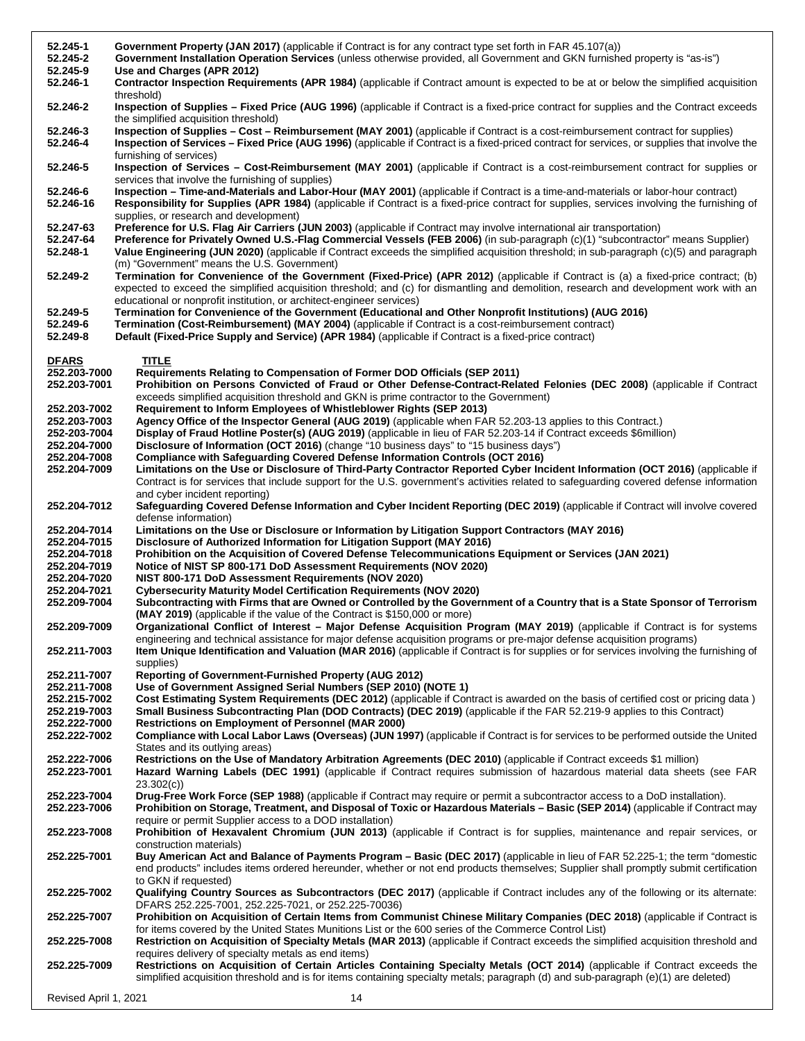| 52.245-1                     | Government Property (JAN 2017) (applicable if Contract is for any contract type set forth in FAR 45.107(a))                                                                                                                                                                                                             |
|------------------------------|-------------------------------------------------------------------------------------------------------------------------------------------------------------------------------------------------------------------------------------------------------------------------------------------------------------------------|
| 52.245-2                     | Government Installation Operation Services (unless otherwise provided, all Government and GKN furnished property is "as-is")                                                                                                                                                                                            |
| 52.245-9                     | Use and Charges (APR 2012)                                                                                                                                                                                                                                                                                              |
| 52.246-1                     | <b>Contractor Inspection Requirements (APR 1984)</b> (applicable if Contract amount is expected to be at or below the simplified acquisition<br>threshold)                                                                                                                                                              |
| 52.246-2                     | Inspection of Supplies – Fixed Price (AUG 1996) (applicable if Contract is a fixed-price contract for supplies and the Contract exceeds<br>the simplified acquisition threshold)                                                                                                                                        |
| 52.246-3                     | Inspection of Supplies - Cost - Reimbursement (MAY 2001) (applicable if Contract is a cost-reimbursement contract for supplies)                                                                                                                                                                                         |
| 52.246-4                     | Inspection of Services - Fixed Price (AUG 1996) (applicable if Contract is a fixed-priced contract for services, or supplies that involve the<br>furnishing of services)                                                                                                                                                |
| 52.246-5                     | Inspection of Services - Cost-Reimbursement (MAY 2001) (applicable if Contract is a cost-reimbursement contract for supplies or<br>services that involve the furnishing of supplies)                                                                                                                                    |
| 52.246-6                     | Inspection - Time-and-Materials and Labor-Hour (MAY 2001) (applicable if Contract is a time-and-materials or labor-hour contract)                                                                                                                                                                                       |
| 52.246-16                    | Responsibility for Supplies (APR 1984) (applicable if Contract is a fixed-price contract for supplies, services involving the furnishing of<br>supplies, or research and development)                                                                                                                                   |
| 52.247-63                    | Preference for U.S. Flag Air Carriers (JUN 2003) (applicable if Contract may involve international air transportation)                                                                                                                                                                                                  |
| 52.247-64<br>52.248-1        | Preference for Privately Owned U.S.-Flag Commercial Vessels (FEB 2006) (in sub-paragraph (c)(1) "subcontractor" means Supplier)<br>Value Engineering (JUN 2020) (applicable if Contract exceeds the simplified acquisition threshold; in sub-paragraph (c)(5) and paragraph                                             |
| 52.249-2                     | (m) "Government" means the U.S. Government)<br>Termination for Convenience of the Government (Fixed-Price) (APR 2012) (applicable if Contract is (a) a fixed-price contract; (b)                                                                                                                                        |
|                              | expected to exceed the simplified acquisition threshold; and (c) for dismantling and demolition, research and development work with an                                                                                                                                                                                  |
|                              | educational or nonprofit institution, or architect-engineer services)                                                                                                                                                                                                                                                   |
| 52.249-5<br>52.249-6         | Termination for Convenience of the Government (Educational and Other Nonprofit Institutions) (AUG 2016)<br>Termination (Cost-Reimbursement) (MAY 2004) (applicable if Contract is a cost-reimbursement contract)                                                                                                        |
| 52.249-8                     | Default (Fixed-Price Supply and Service) (APR 1984) (applicable if Contract is a fixed-price contract)                                                                                                                                                                                                                  |
|                              |                                                                                                                                                                                                                                                                                                                         |
| <b>DFARS</b>                 | <b>TITLE</b>                                                                                                                                                                                                                                                                                                            |
| 252.203-7000                 | Requirements Relating to Compensation of Former DOD Officials (SEP 2011)                                                                                                                                                                                                                                                |
| 252.203-7001                 | Prohibition on Persons Convicted of Fraud or Other Defense-Contract-Related Felonies (DEC 2008) (applicable if Contract<br>exceeds simplified acquisition threshold and GKN is prime contractor to the Government)                                                                                                      |
| 252.203-7002                 | <b>Requirement to Inform Employees of Whistleblower Rights (SEP 2013)</b>                                                                                                                                                                                                                                               |
| 252.203-7003                 | Agency Office of the Inspector General (AUG 2019) (applicable when FAR 52.203-13 applies to this Contract.)                                                                                                                                                                                                             |
| 252-203-7004                 | Display of Fraud Hotline Poster(s) (AUG 2019) (applicable in lieu of FAR 52.203-14 if Contract exceeds \$6million)                                                                                                                                                                                                      |
| 252.204-7000                 | Disclosure of Information (OCT 2016) (change "10 business days" to "15 business days")                                                                                                                                                                                                                                  |
| 252.204-7008                 | <b>Compliance with Safeguarding Covered Defense Information Controls (OCT 2016)</b>                                                                                                                                                                                                                                     |
| 252.204-7009                 | Limitations on the Use or Disclosure of Third-Party Contractor Reported Cyber Incident Information (OCT 2016) (applicable if<br>Contract is for services that include support for the U.S. government's activities related to safeguarding covered defense information                                                  |
| 252.204-7012                 | and cyber incident reporting)<br>Safeguarding Covered Defense Information and Cyber Incident Reporting (DEC 2019) (applicable if Contract will involve covered                                                                                                                                                          |
|                              |                                                                                                                                                                                                                                                                                                                         |
|                              | defense information)                                                                                                                                                                                                                                                                                                    |
| 252.204-7014                 | Limitations on the Use or Disclosure or Information by Litigation Support Contractors (MAY 2016)                                                                                                                                                                                                                        |
| 252.204-7015                 | Disclosure of Authorized Information for Litigation Support (MAY 2016)                                                                                                                                                                                                                                                  |
| 252.204-7018                 | Prohibition on the Acquisition of Covered Defense Telecommunications Equipment or Services (JAN 2021)                                                                                                                                                                                                                   |
| 252.204-7019<br>252.204-7020 | Notice of NIST SP 800-171 DoD Assessment Requirements (NOV 2020)<br>NIST 800-171 DoD Assessment Requirements (NOV 2020)                                                                                                                                                                                                 |
| 252.204-7021                 | <b>Cybersecurity Maturity Model Certification Requirements (NOV 2020)</b>                                                                                                                                                                                                                                               |
| 252.209-7004                 | Subcontracting with Firms that are Owned or Controlled by the Government of a Country that is a State Sponsor of Terrorism                                                                                                                                                                                              |
| 252.209-7009                 | (MAY 2019) (applicable if the value of the Contract is \$150,000 or more)<br>Organizational Conflict of Interest - Major Defense Acquisition Program (MAY 2019) (applicable if Contract is for systems                                                                                                                  |
| 252.211-7003                 | engineering and technical assistance for major defense acquisition programs or pre-major defense acquisition programs)<br>Item Unique Identification and Valuation (MAR 2016) (applicable if Contract is for supplies or for services involving the furnishing of                                                       |
|                              | supplies)                                                                                                                                                                                                                                                                                                               |
| 252.211-7007                 | Reporting of Government-Furnished Property (AUG 2012)                                                                                                                                                                                                                                                                   |
| 252.211-7008                 | Use of Government Assigned Serial Numbers (SEP 2010) (NOTE 1)                                                                                                                                                                                                                                                           |
| 252.215-7002                 | Cost Estimating System Requirements (DEC 2012) (applicable if Contract is awarded on the basis of certified cost or pricing data)                                                                                                                                                                                       |
| 252.219-7003                 | Small Business Subcontracting Plan (DOD Contracts) (DEC 2019) (applicable if the FAR 52.219-9 applies to this Contract)                                                                                                                                                                                                 |
| 252.222-7000<br>252.222-7002 | <b>Restrictions on Employment of Personnel (MAR 2000)</b><br>Compliance with Local Labor Laws (Overseas) (JUN 1997) (applicable if Contract is for services to be performed outside the United                                                                                                                          |
|                              | States and its outlying areas)                                                                                                                                                                                                                                                                                          |
| 252.222-7006<br>252.223-7001 | Restrictions on the Use of Mandatory Arbitration Agreements (DEC 2010) (applicable if Contract exceeds \$1 million)<br>Hazard Warning Labels (DEC 1991) (applicable if Contract requires submission of hazardous material data sheets (see FAR                                                                          |
|                              | 23.302(c))                                                                                                                                                                                                                                                                                                              |
| 252.223-7004<br>252.223-7006 | Drug-Free Work Force (SEP 1988) (applicable if Contract may require or permit a subcontractor access to a DoD installation).<br>Prohibition on Storage, Treatment, and Disposal of Toxic or Hazardous Materials - Basic (SEP 2014) (applicable if Contract may                                                          |
| 252.223-7008                 | require or permit Supplier access to a DOD installation)<br>Prohibition of Hexavalent Chromium (JUN 2013) (applicable if Contract is for supplies, maintenance and repair services, or                                                                                                                                  |
|                              | construction materials)                                                                                                                                                                                                                                                                                                 |
| 252.225-7001                 | Buy American Act and Balance of Payments Program - Basic (DEC 2017) (applicable in lieu of FAR 52.225-1; the term "domestic<br>end products" includes items ordered hereunder, whether or not end products themselves; Supplier shall promptly submit certification                                                     |
| 252.225-7002                 | to GKN if requested)<br>Qualifying Country Sources as Subcontractors (DEC 2017) (applicable if Contract includes any of the following or its alternate:                                                                                                                                                                 |
| 252.225-7007                 | DFARS 252.225-7001, 252.225-7021, or 252.225-70036)<br>Prohibition on Acquisition of Certain Items from Communist Chinese Military Companies (DEC 2018) (applicable if Contract is                                                                                                                                      |
| 252.225-7008                 | for items covered by the United States Munitions List or the 600 series of the Commerce Control List)<br>Restriction on Acquisition of Specialty Metals (MAR 2013) (applicable if Contract exceeds the simplified acquisition threshold and                                                                             |
| 252.225-7009                 | requires delivery of specialty metals as end items)<br>Restrictions on Acquisition of Certain Articles Containing Specialty Metals (OCT 2014) (applicable if Contract exceeds the<br>simplified acquisition threshold and is for items containing specialty metals; paragraph (d) and sub-paragraph (e)(1) are deleted) |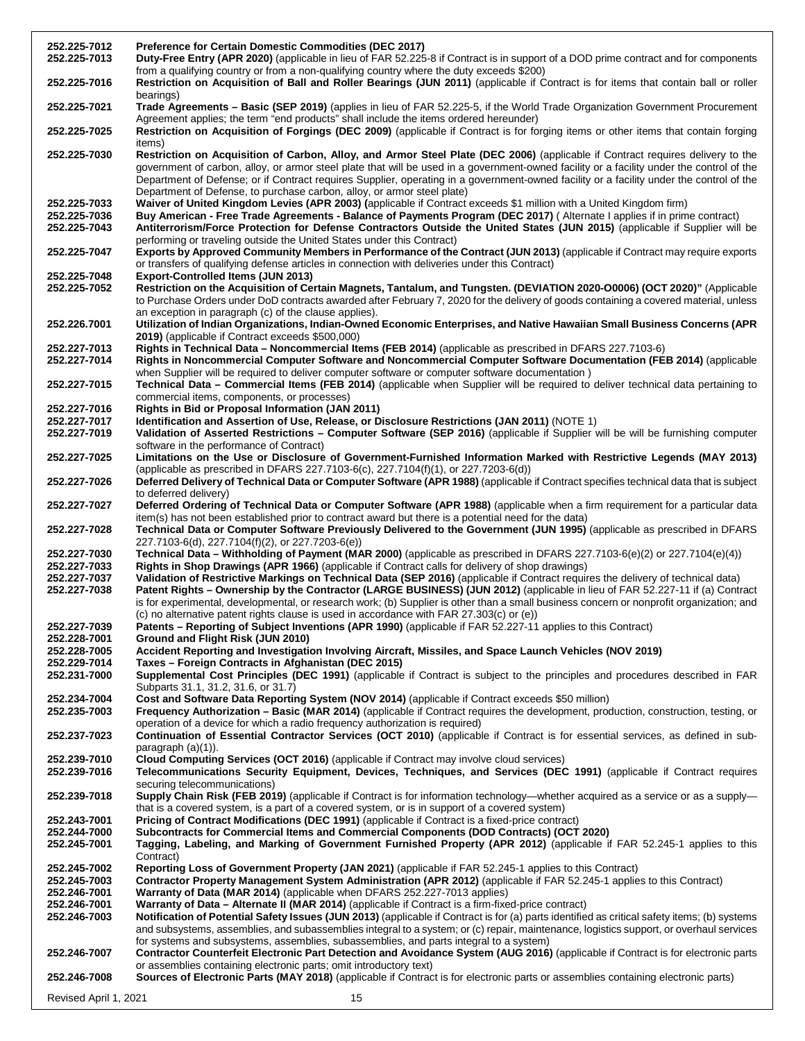| 252.225-7012<br>252.225-7013                 | <b>Preference for Certain Domestic Commodities (DEC 2017)</b><br>Duty-Free Entry (APR 2020) (applicable in lieu of FAR 52.225-8 if Contract is in support of a DOD prime contract and for components                                                                                                                                                                                                                                                                                               |  |  |
|----------------------------------------------|----------------------------------------------------------------------------------------------------------------------------------------------------------------------------------------------------------------------------------------------------------------------------------------------------------------------------------------------------------------------------------------------------------------------------------------------------------------------------------------------------|--|--|
| 252.225-7016                                 | from a qualifying country or from a non-qualifying country where the duty exceeds \$200)<br>Restriction on Acquisition of Ball and Roller Bearings (JUN 2011) (applicable if Contract is for items that contain ball or roller                                                                                                                                                                                                                                                                     |  |  |
| 252.225-7021                                 | bearings)<br>Trade Agreements - Basic (SEP 2019) (applies in lieu of FAR 52.225-5, if the World Trade Organization Government Procurement<br>Agreement applies; the term "end products" shall include the items ordered hereunder)                                                                                                                                                                                                                                                                 |  |  |
| 252.225-7025                                 | Restriction on Acquisition of Forgings (DEC 2009) (applicable if Contract is for forging items or other items that contain forging<br>items)                                                                                                                                                                                                                                                                                                                                                       |  |  |
| 252.225-7030                                 | Restriction on Acquisition of Carbon, Alloy, and Armor Steel Plate (DEC 2006) (applicable if Contract requires delivery to the<br>government of carbon, alloy, or armor steel plate that will be used in a government-owned facility or a facility under the control of the<br>Department of Defense; or if Contract requires Supplier, operating in a government-owned facility or a facility under the control of the<br>Department of Defense, to purchase carbon, alloy, or armor steel plate) |  |  |
| 252.225-7033<br>252.225-7036<br>252.225-7043 | Waiver of United Kingdom Levies (APR 2003) (applicable if Contract exceeds \$1 million with a United Kingdom firm)<br>Buy American - Free Trade Agreements - Balance of Payments Program (DEC 2017) (Alternate I applies if in prime contract)<br>Antiterrorism/Force Protection for Defense Contractors Outside the United States (JUN 2015) (applicable if Supplier will be                                                                                                                      |  |  |
| 252.225-7047                                 | performing or traveling outside the United States under this Contract)<br>Exports by Approved Community Members in Performance of the Contract (JUN 2013) (applicable if Contract may require exports<br>or transfers of qualifying defense articles in connection with deliveries under this Contract)                                                                                                                                                                                            |  |  |
| 252.225-7048                                 | <b>Export-Controlled Items (JUN 2013)</b>                                                                                                                                                                                                                                                                                                                                                                                                                                                          |  |  |
| 252.225-7052                                 | Restriction on the Acquisition of Certain Magnets, Tantalum, and Tungsten. (DEVIATION 2020-O0006) (OCT 2020)" (Applicable<br>to Purchase Orders under DoD contracts awarded after February 7, 2020 for the delivery of goods containing a covered material, unless<br>an exception in paragraph (c) of the clause applies).                                                                                                                                                                        |  |  |
| 252.226.7001                                 | Utilization of Indian Organizations, Indian-Owned Economic Enterprises, and Native Hawaiian Small Business Concerns (APR<br>2019) (applicable if Contract exceeds \$500,000)                                                                                                                                                                                                                                                                                                                       |  |  |
| 252.227-7013<br>252.227-7014                 | Rights in Technical Data - Noncommercial Items (FEB 2014) (applicable as prescribed in DFARS 227.7103-6)<br>Rights in Noncommercial Computer Software and Noncommercial Computer Software Documentation (FEB 2014) (applicable                                                                                                                                                                                                                                                                     |  |  |
|                                              | when Supplier will be required to deliver computer software or computer software documentation)                                                                                                                                                                                                                                                                                                                                                                                                    |  |  |
| 252.227-7015                                 | Technical Data - Commercial Items (FEB 2014) (applicable when Supplier will be required to deliver technical data pertaining to<br>commercial items, components, or processes)                                                                                                                                                                                                                                                                                                                     |  |  |
| 252.227-7016                                 | Rights in Bid or Proposal Information (JAN 2011)                                                                                                                                                                                                                                                                                                                                                                                                                                                   |  |  |
| 252.227-7017<br>252.227-7019                 | Identification and Assertion of Use, Release, or Disclosure Restrictions (JAN 2011) (NOTE 1)<br>Validation of Asserted Restrictions - Computer Software (SEP 2016) (applicable if Supplier will be will be furnishing computer                                                                                                                                                                                                                                                                     |  |  |
|                                              | software in the performance of Contract)                                                                                                                                                                                                                                                                                                                                                                                                                                                           |  |  |
| 252.227-7025                                 | Limitations on the Use or Disclosure of Government-Furnished Information Marked with Restrictive Legends (MAY 2013)<br>(applicable as prescribed in DFARS 227.7103-6(c), 227.7104(f)(1), or 227.7203-6(d))                                                                                                                                                                                                                                                                                         |  |  |
| 252.227-7026                                 | Deferred Delivery of Technical Data or Computer Software (APR 1988) (applicable if Contract specifies technical data that is subject<br>to deferred delivery)                                                                                                                                                                                                                                                                                                                                      |  |  |
| 252.227-7027                                 | Deferred Ordering of Technical Data or Computer Software (APR 1988) (applicable when a firm requirement for a particular data<br>item(s) has not been established prior to contract award but there is a potential need for the data)                                                                                                                                                                                                                                                              |  |  |
| 252.227-7028                                 | Technical Data or Computer Software Previously Delivered to the Government (JUN 1995) (applicable as prescribed in DFARS<br>227.7103-6(d), 227.7104(f)(2), or 227.7203-6(e))                                                                                                                                                                                                                                                                                                                       |  |  |
| 252.227-7030                                 | Technical Data – Withholding of Payment (MAR 2000) (applicable as prescribed in DFARS 227.7103-6(e)(2) or 227.7104(e)(4))                                                                                                                                                                                                                                                                                                                                                                          |  |  |
| 252.227-7033<br>252.227-7037                 | Rights in Shop Drawings (APR 1966) (applicable if Contract calls for delivery of shop drawings)<br>Validation of Restrictive Markings on Technical Data (SEP 2016) (applicable if Contract requires the delivery of technical data)                                                                                                                                                                                                                                                                |  |  |
| 252.227-7038                                 | Patent Rights - Ownership by the Contractor (LARGE BUSINESS) (JUN 2012) (applicable in lieu of FAR 52.227-11 if (a) Contract<br>is for experimental, developmental, or research work; (b) Supplier is other than a small business concern or nonprofit organization; and<br>(c) no alternative patent rights clause is used in accordance with FAR 27.303(c) or $(e)$ )                                                                                                                            |  |  |
| 252.227-7039                                 | Patents - Reporting of Subject Inventions (APR 1990) (applicable if FAR 52.227-11 applies to this Contract)                                                                                                                                                                                                                                                                                                                                                                                        |  |  |
| 252.228-7001<br>252.228-7005                 | Ground and Flight Risk (JUN 2010)<br>Accident Reporting and Investigation Involving Aircraft, Missiles, and Space Launch Vehicles (NOV 2019)                                                                                                                                                                                                                                                                                                                                                       |  |  |
| 252.229-7014                                 | Taxes - Foreign Contracts in Afghanistan (DEC 2015)                                                                                                                                                                                                                                                                                                                                                                                                                                                |  |  |
| 252.231-7000                                 | Supplemental Cost Principles (DEC 1991) (applicable if Contract is subject to the principles and procedures described in FAR<br>Subparts 31.1, 31.2, 31.6, or 31.7)                                                                                                                                                                                                                                                                                                                                |  |  |
| 252.234-7004                                 | Cost and Software Data Reporting System (NOV 2014) (applicable if Contract exceeds \$50 million)                                                                                                                                                                                                                                                                                                                                                                                                   |  |  |
| 252.235-7003                                 | Frequency Authorization – Basic (MAR 2014) (applicable if Contract requires the development, production, construction, testing, or<br>operation of a device for which a radio frequency authorization is required)                                                                                                                                                                                                                                                                                 |  |  |
| 252.237-7023                                 | Continuation of Essential Contractor Services (OCT 2010) (applicable if Contract is for essential services, as defined in sub-<br>paragraph $(a)(1)$ ).                                                                                                                                                                                                                                                                                                                                            |  |  |
| 252.239-7010                                 | Cloud Computing Services (OCT 2016) (applicable if Contract may involve cloud services)                                                                                                                                                                                                                                                                                                                                                                                                            |  |  |
| 252.239-7016                                 | Telecommunications Security Equipment, Devices, Techniques, and Services (DEC 1991) (applicable if Contract requires<br>securing telecommunications)                                                                                                                                                                                                                                                                                                                                               |  |  |
| 252.239-7018                                 | Supply Chain Risk (FEB 2019) (applicable if Contract is for information technology—whether acquired as a service or as a supply—<br>that is a covered system, is a part of a covered system, or is in support of a covered system)                                                                                                                                                                                                                                                                 |  |  |
| 252.243-7001                                 | Pricing of Contract Modifications (DEC 1991) (applicable if Contract is a fixed-price contract)                                                                                                                                                                                                                                                                                                                                                                                                    |  |  |
| 252.244-7000                                 | Subcontracts for Commercial Items and Commercial Components (DOD Contracts) (OCT 2020)                                                                                                                                                                                                                                                                                                                                                                                                             |  |  |
| 252.245-7001                                 | Tagging, Labeling, and Marking of Government Furnished Property (APR 2012) (applicable if FAR 52.245-1 applies to this<br>Contract)                                                                                                                                                                                                                                                                                                                                                                |  |  |
| 252.245-7002                                 | Reporting Loss of Government Property (JAN 2021) (applicable if FAR 52.245-1 applies to this Contract)                                                                                                                                                                                                                                                                                                                                                                                             |  |  |
| 252.245-7003                                 | Contractor Property Management System Administration (APR 2012) (applicable if FAR 52.245-1 applies to this Contract)                                                                                                                                                                                                                                                                                                                                                                              |  |  |
| 252.246-7001                                 | Warranty of Data (MAR 2014) (applicable when DFARS 252.227-7013 applies)<br>Warranty of Data - Alternate II (MAR 2014) (applicable if Contract is a firm-fixed-price contract)                                                                                                                                                                                                                                                                                                                     |  |  |
| 252.246-7001<br>252.246-7003                 | Notification of Potential Safety Issues (JUN 2013) (applicable if Contract is for (a) parts identified as critical safety items; (b) systems                                                                                                                                                                                                                                                                                                                                                       |  |  |
|                                              | and subsystems, assemblies, and subassemblies integral to a system; or (c) repair, maintenance, logistics support, or overhaul services                                                                                                                                                                                                                                                                                                                                                            |  |  |
|                                              | for systems and subsystems, assemblies, subassemblies, and parts integral to a system)                                                                                                                                                                                                                                                                                                                                                                                                             |  |  |
| 252.246-7007                                 | Contractor Counterfeit Electronic Part Detection and Avoidance System (AUG 2016) (applicable if Contract is for electronic parts                                                                                                                                                                                                                                                                                                                                                                   |  |  |
| 252.246-7008                                 | or assemblies containing electronic parts; omit introductory text)<br>Sources of Electronic Parts (MAY 2018) (applicable if Contract is for electronic parts or assemblies containing electronic parts)                                                                                                                                                                                                                                                                                            |  |  |
|                                              | Revised April 1, 2021<br>15                                                                                                                                                                                                                                                                                                                                                                                                                                                                        |  |  |